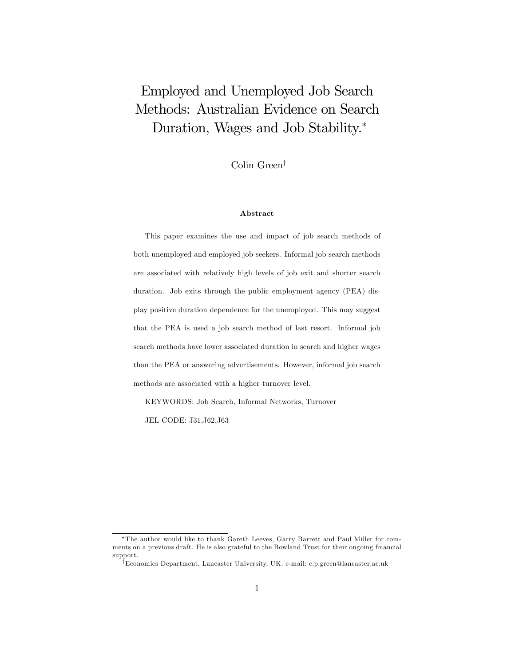# Employed and Unemployed Job Search Methods: Australian Evidence on Search Duration, Wages and Job Stability.

Colin Green<sup>†</sup>

#### Abstract

This paper examines the use and impact of job search methods of both unemployed and employed job seekers. Informal job search methods are associated with relatively high levels of job exit and shorter search duration. Job exits through the public employment agency (PEA) display positive duration dependence for the unemployed. This may suggest that the PEA is used a job search method of last resort. Informal job search methods have lower associated duration in search and higher wages than the PEA or answering advertisements. However, informal job search methods are associated with a higher turnover level.

KEYWORDS: Job Search, Informal Networks, Turnover

JEL CODE: J31,J62,J63

The author would like to thank Gareth Leeves, Garry Barrett and Paul Miller for comments on a previous draft. He is also grateful to the Bowland Trust for their ongoing financial support.

<sup>&</sup>lt;sup>†</sup>Economics Department, Lancaster University, UK. e-mail: c.p.green@lancaster.ac.uk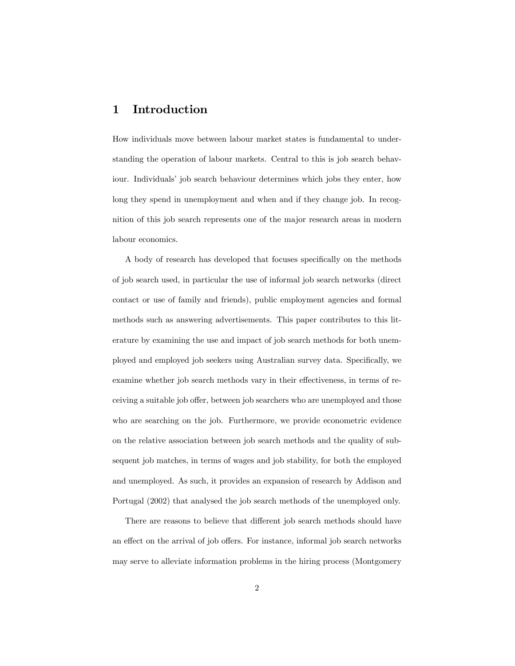## 1 Introduction

How individuals move between labour market states is fundamental to understanding the operation of labour markets. Central to this is job search behaviour. Individuals' job search behaviour determines which jobs they enter, how long they spend in unemployment and when and if they change job. In recognition of this job search represents one of the major research areas in modern labour economics.

A body of research has developed that focuses specifically on the methods of job search used, in particular the use of informal job search networks (direct contact or use of family and friends), public employment agencies and formal methods such as answering advertisements. This paper contributes to this literature by examining the use and impact of job search methods for both unemployed and employed job seekers using Australian survey data. Specifically, we examine whether job search methods vary in their effectiveness, in terms of receiving a suitable job offer, between job searchers who are unemployed and those who are searching on the job. Furthermore, we provide econometric evidence on the relative association between job search methods and the quality of subsequent job matches, in terms of wages and job stability, for both the employed and unemployed. As such, it provides an expansion of research by Addison and Portugal (2002) that analysed the job search methods of the unemployed only.

There are reasons to believe that different job search methods should have an effect on the arrival of job offers. For instance, informal job search networks may serve to alleviate information problems in the hiring process (Montgomery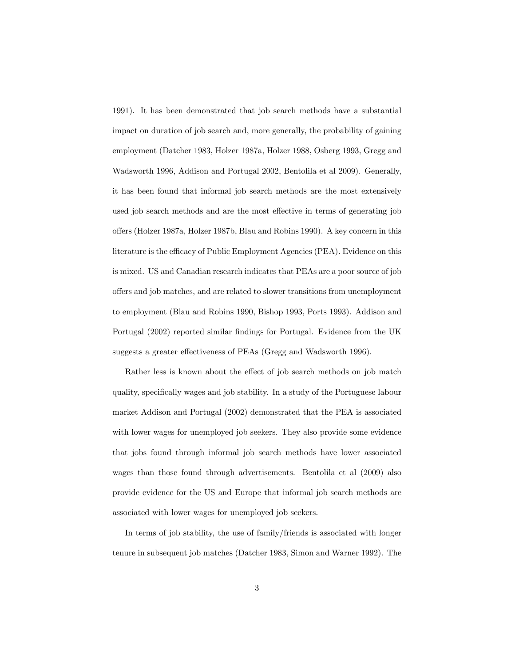1991). It has been demonstrated that job search methods have a substantial impact on duration of job search and, more generally, the probability of gaining employment (Datcher 1983, Holzer 1987a, Holzer 1988, Osberg 1993, Gregg and Wadsworth 1996, Addison and Portugal 2002, Bentolila et al 2009). Generally, it has been found that informal job search methods are the most extensively used job search methods and are the most effective in terms of generating job offers (Holzer 1987a, Holzer 1987b, Blau and Robins 1990). A key concern in this literature is the efficacy of Public Employment Agencies (PEA). Evidence on this is mixed. US and Canadian research indicates that PEAs are a poor source of job offers and job matches, and are related to slower transitions from unemployment to employment (Blau and Robins 1990, Bishop 1993, Ports 1993). Addison and Portugal (2002) reported similar findings for Portugal. Evidence from the UK suggests a greater effectiveness of PEAs (Gregg and Wadsworth 1996).

Rather less is known about the effect of job search methods on job match quality, specifically wages and job stability. In a study of the Portuguese labour market Addison and Portugal (2002) demonstrated that the PEA is associated with lower wages for unemployed job seekers. They also provide some evidence that jobs found through informal job search methods have lower associated wages than those found through advertisements. Bentolila et al (2009) also provide evidence for the US and Europe that informal job search methods are associated with lower wages for unemployed job seekers.

In terms of job stability, the use of family/friends is associated with longer tenure in subsequent job matches (Datcher 1983, Simon and Warner 1992). The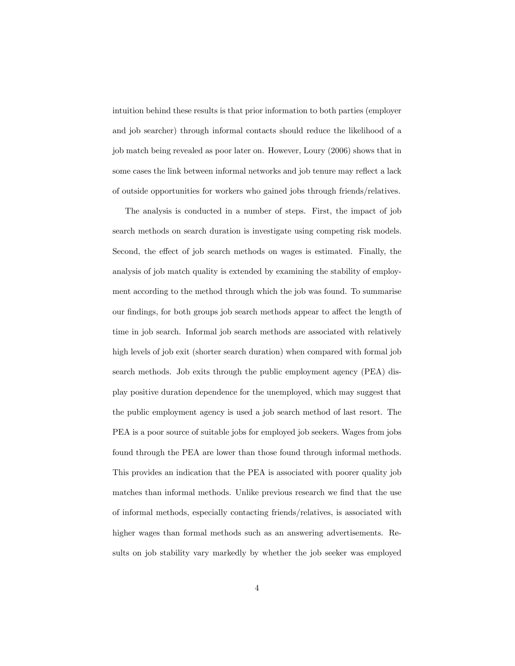intuition behind these results is that prior information to both parties (employer and job searcher) through informal contacts should reduce the likelihood of a job match being revealed as poor later on. However, Loury (2006) shows that in some cases the link between informal networks and job tenure may reflect a lack of outside opportunities for workers who gained jobs through friends/relatives.

The analysis is conducted in a number of steps. First, the impact of job search methods on search duration is investigate using competing risk models. Second, the effect of job search methods on wages is estimated. Finally, the analysis of job match quality is extended by examining the stability of employment according to the method through which the job was found. To summarise our findings, for both groups job search methods appear to affect the length of time in job search. Informal job search methods are associated with relatively high levels of job exit (shorter search duration) when compared with formal job search methods. Job exits through the public employment agency (PEA) display positive duration dependence for the unemployed, which may suggest that the public employment agency is used a job search method of last resort. The PEA is a poor source of suitable jobs for employed job seekers. Wages from jobs found through the PEA are lower than those found through informal methods. This provides an indication that the PEA is associated with poorer quality job matches than informal methods. Unlike previous research we find that the use of informal methods, especially contacting friends/relatives, is associated with higher wages than formal methods such as an answering advertisements. Results on job stability vary markedly by whether the job seeker was employed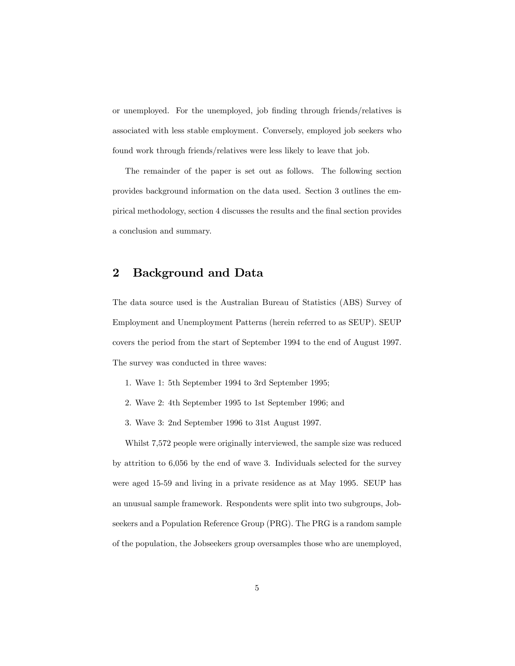or unemployed. For the unemployed, job finding through friends/relatives is associated with less stable employment. Conversely, employed job seekers who found work through friends/relatives were less likely to leave that job.

The remainder of the paper is set out as follows. The following section provides background information on the data used. Section 3 outlines the empirical methodology, section 4 discusses the results and the Önal section provides a conclusion and summary.

## 2 Background and Data

The data source used is the Australian Bureau of Statistics (ABS) Survey of Employment and Unemployment Patterns (herein referred to as SEUP). SEUP covers the period from the start of September 1994 to the end of August 1997. The survey was conducted in three waves:

- 1. Wave 1: 5th September 1994 to 3rd September 1995;
- 2. Wave 2: 4th September 1995 to 1st September 1996; and
- 3. Wave 3: 2nd September 1996 to 31st August 1997.

Whilst 7,572 people were originally interviewed, the sample size was reduced by attrition to 6,056 by the end of wave 3. Individuals selected for the survey were aged 15-59 and living in a private residence as at May 1995. SEUP has an unusual sample framework. Respondents were split into two subgroups, Jobseekers and a Population Reference Group (PRG). The PRG is a random sample of the population, the Jobseekers group oversamples those who are unemployed,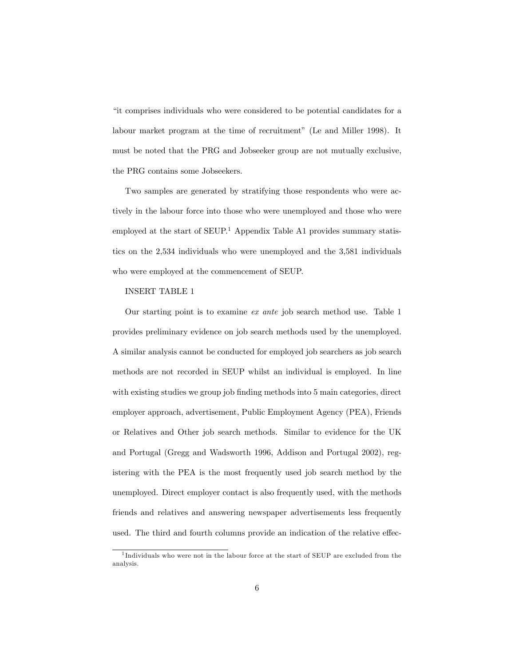ìit comprises individuals who were considered to be potential candidates for a labour market program at the time of recruitment" (Le and Miller 1998). It must be noted that the PRG and Jobseeker group are not mutually exclusive, the PRG contains some Jobseekers.

Two samples are generated by stratifying those respondents who were actively in the labour force into those who were unemployed and those who were employed at the start of  $SEUP$ .<sup>1</sup> Appendix Table A1 provides summary statistics on the 2,534 individuals who were unemployed and the 3,581 individuals who were employed at the commencement of SEUP.

### INSERT TABLE 1

Our starting point is to examine ex ante job search method use. Table 1 provides preliminary evidence on job search methods used by the unemployed. A similar analysis cannot be conducted for employed job searchers as job search methods are not recorded in SEUP whilst an individual is employed. In line with existing studies we group job finding methods into 5 main categories, direct employer approach, advertisement, Public Employment Agency (PEA), Friends or Relatives and Other job search methods. Similar to evidence for the UK and Portugal (Gregg and Wadsworth 1996, Addison and Portugal 2002), registering with the PEA is the most frequently used job search method by the unemployed. Direct employer contact is also frequently used, with the methods friends and relatives and answering newspaper advertisements less frequently used. The third and fourth columns provide an indication of the relative effec-

<sup>1</sup> Individuals who were not in the labour force at the start of SEUP are excluded from the analysis.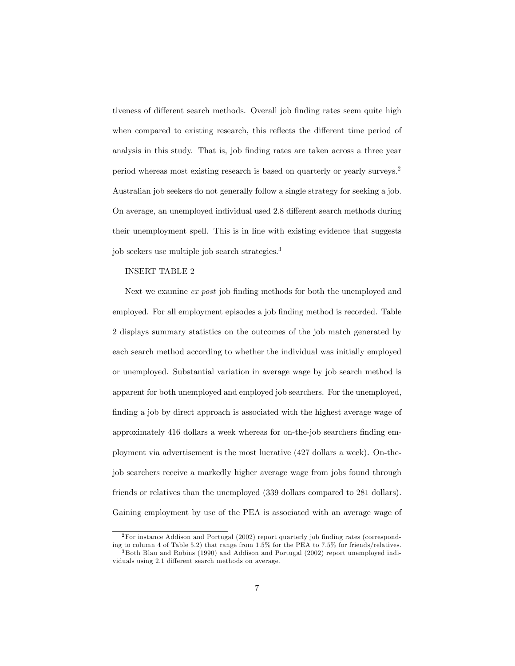tiveness of different search methods. Overall job finding rates seem quite high when compared to existing research, this reflects the different time period of analysis in this study. That is, job finding rates are taken across a three year period whereas most existing research is based on quarterly or yearly surveys.<sup>2</sup> Australian job seekers do not generally follow a single strategy for seeking a job. On average, an unemployed individual used 2.8 different search methods during their unemployment spell. This is in line with existing evidence that suggests job seekers use multiple job search strategies.<sup>3</sup>

#### INSERT TABLE 2

Next we examine  $ex$  post job finding methods for both the unemployed and employed. For all employment episodes a job finding method is recorded. Table 2 displays summary statistics on the outcomes of the job match generated by each search method according to whether the individual was initially employed or unemployed. Substantial variation in average wage by job search method is apparent for both unemployed and employed job searchers. For the unemployed, finding a job by direct approach is associated with the highest average wage of approximately 416 dollars a week whereas for on-the-job searchers finding employment via advertisement is the most lucrative (427 dollars a week). On-thejob searchers receive a markedly higher average wage from jobs found through friends or relatives than the unemployed (339 dollars compared to 281 dollars). Gaining employment by use of the PEA is associated with an average wage of

 $2$ For instance Addison and Portugal (2002) report quarterly job finding rates (corresponding to column 4 of Table 5.2) that range from 1.5% for the PEA to 7.5% for friends/relatives.

<sup>3</sup> Both Blau and Robins (1990) and Addison and Portugal (2002) report unemployed individuals using 2.1 different search methods on average.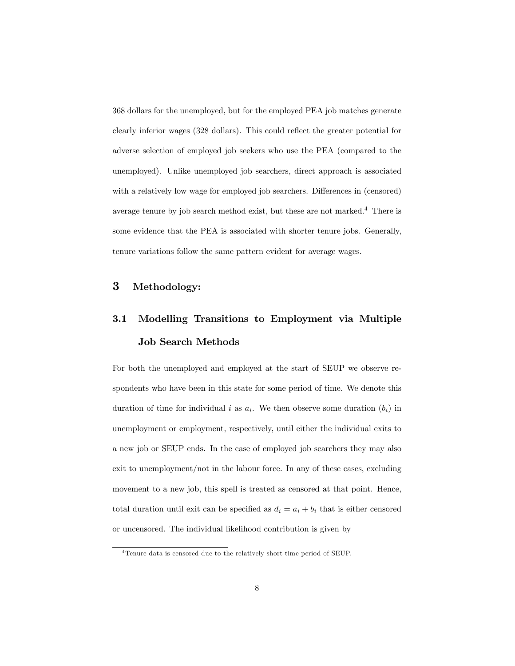368 dollars for the unemployed, but for the employed PEA job matches generate clearly inferior wages (328 dollars). This could reflect the greater potential for adverse selection of employed job seekers who use the PEA (compared to the unemployed). Unlike unemployed job searchers, direct approach is associated with a relatively low wage for employed job searchers. Differences in (censored) average tenure by job search method exist, but these are not marked.<sup>4</sup> There is some evidence that the PEA is associated with shorter tenure jobs. Generally, tenure variations follow the same pattern evident for average wages.

## 3 Methodology:

# 3.1 Modelling Transitions to Employment via Multiple Job Search Methods

For both the unemployed and employed at the start of SEUP we observe respondents who have been in this state for some period of time. We denote this duration of time for individual i as  $a_i$ . We then observe some duration  $(b_i)$  in unemployment or employment, respectively, until either the individual exits to a new job or SEUP ends. In the case of employed job searchers they may also exit to unemployment/not in the labour force. In any of these cases, excluding movement to a new job, this spell is treated as censored at that point. Hence, total duration until exit can be specified as  $d_i = a_i + b_i$  that is either censored or uncensored. The individual likelihood contribution is given by

<sup>&</sup>lt;sup>4</sup> Tenure data is censored due to the relatively short time period of SEUP.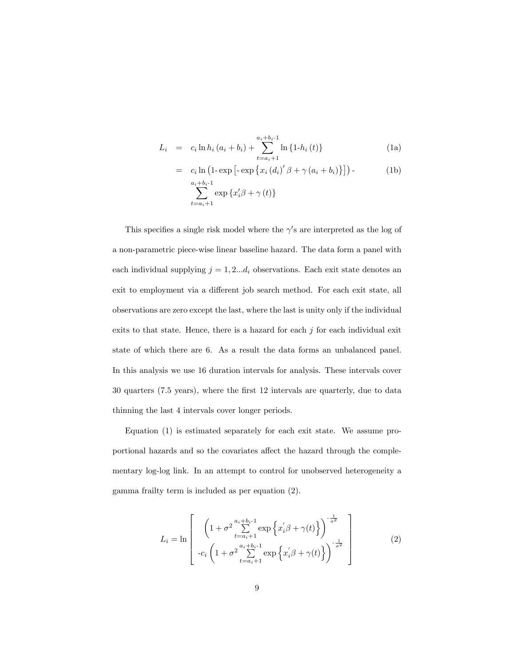$$
L_{i} = c_{i} \ln h_{i} (a_{i} + b_{i}) + \sum_{t=a_{i}+1}^{a_{i}+b_{i}-1} \ln \{1-h_{i} (t)\}
$$
 (1a)

$$
= c_i \ln \left(1 - \exp \left[-\exp \left\{x_i \left(d_i\right)^\prime \beta + \gamma \left(a_i + b_i\right)\right\}\right]\right) - \text{(1b)}
$$
\n
$$
a_i + b_i - 1
$$

$$
\sum_{t=a_i+1}^{a_i+b_i-1} \exp\left\{x_i'\beta + \gamma(t)\right\}
$$

This specifies a single risk model where the  $\gamma$ 's are interpreted as the log of a non-parametric piece-wise linear baseline hazard. The data form a panel with each individual supplying  $j = 1, 2...d_i$  observations. Each exit state denotes an exit to employment via a different job search method. For each exit state, all observations are zero except the last, where the last is unity only if the individual exits to that state. Hence, there is a hazard for each  $j$  for each individual exit state of which there are 6. As a result the data forms an unbalanced panel. In this analysis we use 16 duration intervals for analysis. These intervals cover 30 quarters (7.5 years), where the Örst 12 intervals are quarterly, due to data thinning the last 4 intervals cover longer periods.

Equation (1) is estimated separately for each exit state. We assume proportional hazards and so the covariates affect the hazard through the complementary log-log link. In an attempt to control for unobserved heterogeneity a gamma frailty term is included as per equation (2).

$$
L_{i} = \ln \left[ \left( 1 + \sigma^{2} \sum_{t=a_{i}+1}^{a_{i}+b_{i}-1} \exp\left\{x_{i}^{'}\beta + \gamma(t)\right\} \right)^{-\frac{1}{\sigma^{2}}} \right] - c_{i} \left( 1 + \sigma^{2} \sum_{t=a_{i}+1}^{a_{i}+b_{i}-1} \exp\left\{x_{i}^{'}\beta + \gamma(t)\right\} \right)^{-\frac{1}{\sigma^{2}}} \right]
$$
(2)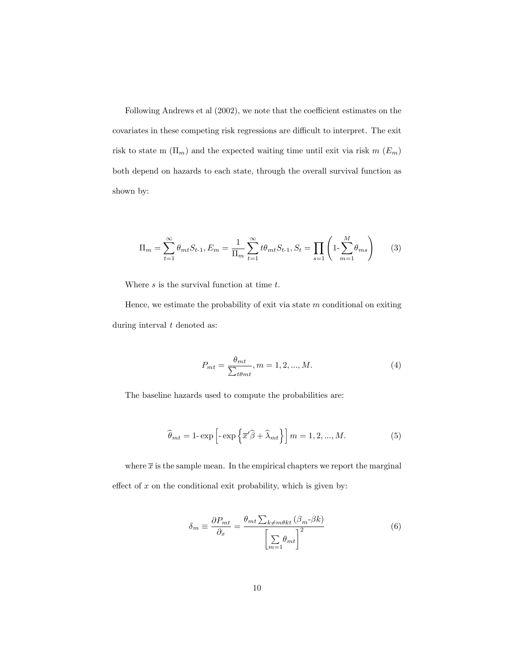Following Andrews et al  $(2002)$ , we note that the coefficient estimates on the covariates in these competing risk regressions are difficult to interpret. The exit risk to state m  $(\Pi_m)$  and the expected waiting time until exit via risk m  $(E_m)$ both depend on hazards to each state, through the overall survival function as shown by:

$$
\Pi_m = \sum_{t=1}^{\infty} \theta_{mt} S_{t-1}, E_m = \frac{1}{\Pi_m} \sum_{t=1}^{\infty} t \theta_{mt} S_{t-1}, S_t = \prod_{s=1}^{\infty} \left( 1 - \sum_{m=1}^{M} \theta_{ms} \right) \tag{3}
$$

Where  $s$  is the survival function at time  $t$ .

Hence, we estimate the probability of exit via state  $m$  conditional on exiting during interval  $t$  denoted as:

$$
P_{mt} = \frac{\theta_{mt}}{\sum_{t\theta_{mt}}}, m = 1, 2, ..., M.
$$
 (4)

The baseline hazards used to compute the probabilities are:

$$
\widehat{\theta}_{mt} = 1 - \exp\left[-\exp\left\{\overline{x}'\widehat{\beta} + \widehat{\lambda}_{mt}\right\}\right]m = 1, 2, ..., M.
$$
 (5)

where  $\bar{x}$  is the sample mean. In the empirical chapters we report the marginal effect of  $x$  on the conditional exit probability, which is given by:

$$
\delta_m \equiv \frac{\partial P_{mt}}{\partial_x} = \frac{\theta_{mt} \sum_{k \neq m\theta kt} (\beta_m - \beta k)}{\left[\sum_{m=1}^{\infty} \theta_{mt}\right]^2}
$$
(6)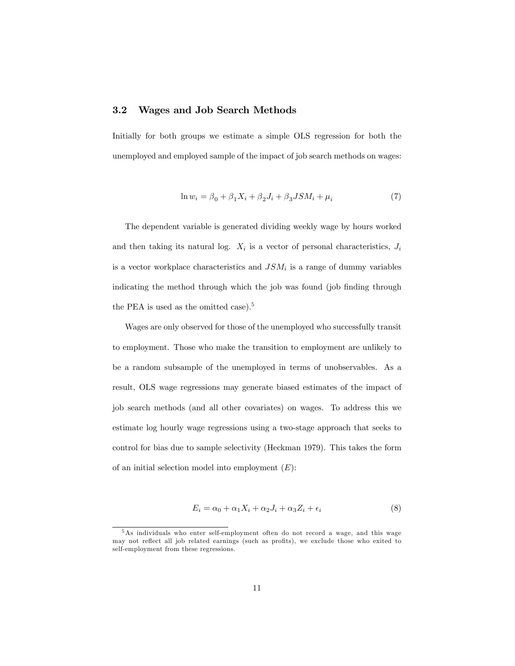### 3.2 Wages and Job Search Methods

Initially for both groups we estimate a simple OLS regression for both the unemployed and employed sample of the impact of job search methods on wages:

$$
\ln w_i = \beta_0 + \beta_1 X_i + \beta_2 J_i + \beta_3 J S M_i + \mu_i \tag{7}
$$

The dependent variable is generated dividing weekly wage by hours worked and then taking its natural log.  $X_i$  is a vector of personal characteristics,  $J_i$ is a vector workplace characteristics and  $JSM_i$  is a range of dummy variables indicating the method through which the job was found (job finding through the PEA is used as the omitted case).<sup>5</sup>

Wages are only observed for those of the unemployed who successfully transit to employment. Those who make the transition to employment are unlikely to be a random subsample of the unemployed in terms of unobservables. As a result, OLS wage regressions may generate biased estimates of the impact of job search methods (and all other covariates) on wages. To address this we estimate log hourly wage regressions using a two-stage approach that seeks to control for bias due to sample selectivity (Heckman 1979). This takes the form of an initial selection model into employment  $(E)$ :

$$
E_i = \alpha_0 + \alpha_1 X_i + \alpha_2 J_i + \alpha_3 Z_i + \epsilon_i \tag{8}
$$

<sup>5</sup>As individuals who enter self-employment often do not record a wage, and this wage may not reflect all job related earnings (such as profits), we exclude those who exited to self-employment from these regressions.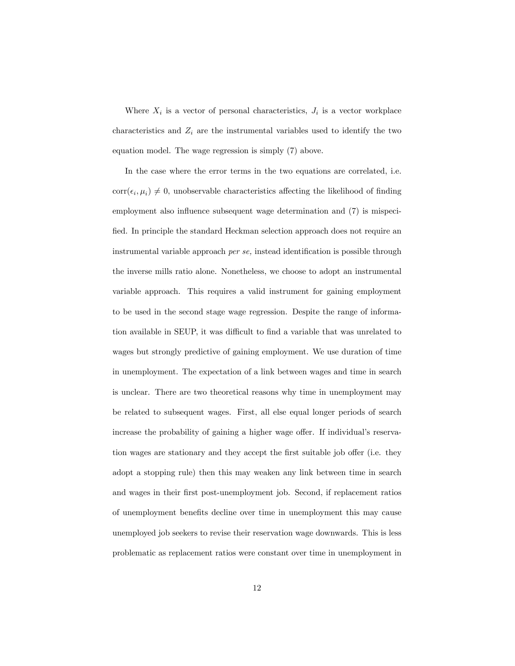Where  $X_i$  is a vector of personal characteristics,  $J_i$  is a vector workplace characteristics and  $Z_i$  are the instrumental variables used to identify the two equation model. The wage regression is simply (7) above.

In the case where the error terms in the two equations are correlated, i.e.  $\text{corr}(\epsilon_i, \mu_i) \neq 0$ , unobservable characteristics affecting the likelihood of finding employment also influence subsequent wage determination and  $(7)$  is mispecified. In principle the standard Heckman selection approach does not require an instrumental variable approach  $per se$ , instead identification is possible through the inverse mills ratio alone. Nonetheless, we choose to adopt an instrumental variable approach. This requires a valid instrument for gaining employment to be used in the second stage wage regression. Despite the range of information available in SEUP, it was difficult to find a variable that was unrelated to wages but strongly predictive of gaining employment. We use duration of time in unemployment. The expectation of a link between wages and time in search is unclear. There are two theoretical reasons why time in unemployment may be related to subsequent wages. First, all else equal longer periods of search increase the probability of gaining a higher wage offer. If individual's reservation wages are stationary and they accept the first suitable job offer (i.e. they adopt a stopping rule) then this may weaken any link between time in search and wages in their first post-unemployment job. Second, if replacement ratios of unemployment benefits decline over time in unemployment this may cause unemployed job seekers to revise their reservation wage downwards. This is less problematic as replacement ratios were constant over time in unemployment in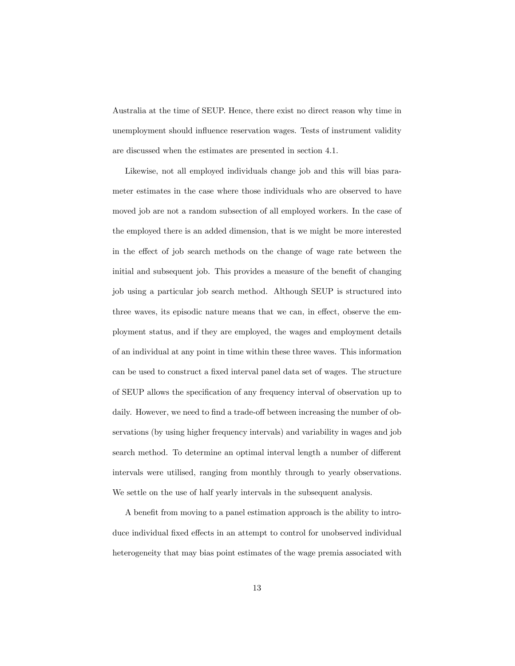Australia at the time of SEUP. Hence, there exist no direct reason why time in unemployment should ináuence reservation wages. Tests of instrument validity are discussed when the estimates are presented in section 4.1.

Likewise, not all employed individuals change job and this will bias parameter estimates in the case where those individuals who are observed to have moved job are not a random subsection of all employed workers. In the case of the employed there is an added dimension, that is we might be more interested in the effect of job search methods on the change of wage rate between the initial and subsequent job. This provides a measure of the benefit of changing job using a particular job search method. Although SEUP is structured into three waves, its episodic nature means that we can, in effect, observe the employment status, and if they are employed, the wages and employment details of an individual at any point in time within these three waves. This information can be used to construct a fixed interval panel data set of wages. The structure of SEUP allows the specification of any frequency interval of observation up to daily. However, we need to find a trade-off between increasing the number of observations (by using higher frequency intervals) and variability in wages and job search method. To determine an optimal interval length a number of different intervals were utilised, ranging from monthly through to yearly observations. We settle on the use of half yearly intervals in the subsequent analysis.

A benefit from moving to a panel estimation approach is the ability to introduce individual fixed effects in an attempt to control for unobserved individual heterogeneity that may bias point estimates of the wage premia associated with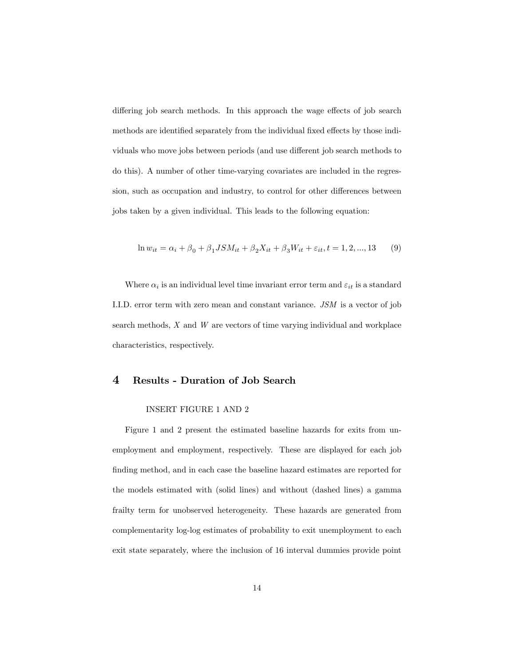differing job search methods. In this approach the wage effects of job search methods are identified separately from the individual fixed effects by those individuals who move jobs between periods (and use different job search methods to do this). A number of other time-varying covariates are included in the regression, such as occupation and industry, to control for other differences between jobs taken by a given individual. This leads to the following equation:

$$
\ln w_{it} = \alpha_i + \beta_0 + \beta_1 J S M_{it} + \beta_2 X_{it} + \beta_3 W_{it} + \varepsilon_{it}, t = 1, 2, ..., 13
$$
 (9)

Where  $\alpha_i$  is an individual level time invariant error term and  $\varepsilon_{it}$  is a standard I.I.D. error term with zero mean and constant variance. JSM is a vector of job search methods, X and W are vectors of time varying individual and workplace characteristics, respectively.

## 4 Results - Duration of Job Search

#### INSERT FIGURE 1 AND 2

Figure 1 and 2 present the estimated baseline hazards for exits from unemployment and employment, respectively. These are displayed for each job finding method, and in each case the baseline hazard estimates are reported for the models estimated with (solid lines) and without (dashed lines) a gamma frailty term for unobserved heterogeneity. These hazards are generated from complementarity log-log estimates of probability to exit unemployment to each exit state separately, where the inclusion of 16 interval dummies provide point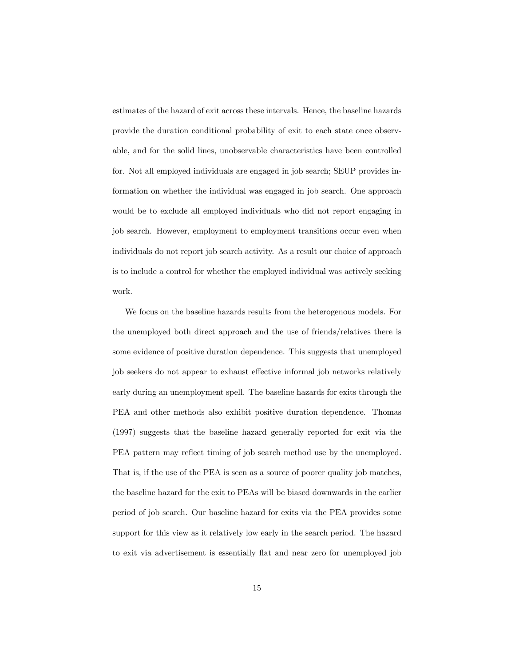estimates of the hazard of exit across these intervals. Hence, the baseline hazards provide the duration conditional probability of exit to each state once observable, and for the solid lines, unobservable characteristics have been controlled for. Not all employed individuals are engaged in job search; SEUP provides information on whether the individual was engaged in job search. One approach would be to exclude all employed individuals who did not report engaging in job search. However, employment to employment transitions occur even when individuals do not report job search activity. As a result our choice of approach is to include a control for whether the employed individual was actively seeking work.

We focus on the baseline hazards results from the heterogenous models. For the unemployed both direct approach and the use of friends/relatives there is some evidence of positive duration dependence. This suggests that unemployed job seekers do not appear to exhaust effective informal job networks relatively early during an unemployment spell. The baseline hazards for exits through the PEA and other methods also exhibit positive duration dependence. Thomas (1997) suggests that the baseline hazard generally reported for exit via the PEA pattern may reflect timing of job search method use by the unemployed. That is, if the use of the PEA is seen as a source of poorer quality job matches, the baseline hazard for the exit to PEAs will be biased downwards in the earlier period of job search. Our baseline hazard for exits via the PEA provides some support for this view as it relatively low early in the search period. The hazard to exit via advertisement is essentially flat and near zero for unemployed job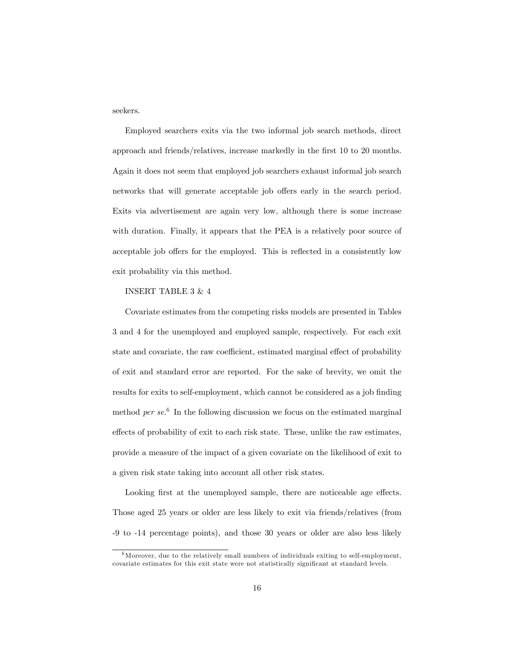seekers.

Employed searchers exits via the two informal job search methods, direct approach and friends/relatives, increase markedly in the first 10 to 20 months. Again it does not seem that employed job searchers exhaust informal job search networks that will generate acceptable job offers early in the search period. Exits via advertisement are again very low, although there is some increase with duration. Finally, it appears that the PEA is a relatively poor source of acceptable job offers for the employed. This is reflected in a consistently low exit probability via this method.

## INSERT TABLE 3 & 4

Covariate estimates from the competing risks models are presented in Tables 3 and 4 for the unemployed and employed sample, respectively. For each exit state and covariate, the raw coefficient, estimated marginal effect of probability of exit and standard error are reported. For the sake of brevity, we omit the results for exits to self-employment, which cannot be considered as a job finding method *per se*.<sup>6</sup> In the following discussion we focus on the estimated marginal effects of probability of exit to each risk state. These, unlike the raw estimates, provide a measure of the impact of a given covariate on the likelihood of exit to a given risk state taking into account all other risk states.

Looking first at the unemployed sample, there are noticeable age effects. Those aged 25 years or older are less likely to exit via friends/relatives (from -9 to -14 percentage points), and those 30 years or older are also less likely

 $6$ Moreover, due to the relatively small numbers of individuals exiting to self-employment, covariate estimates for this exit state were not statistically significant at standard levels.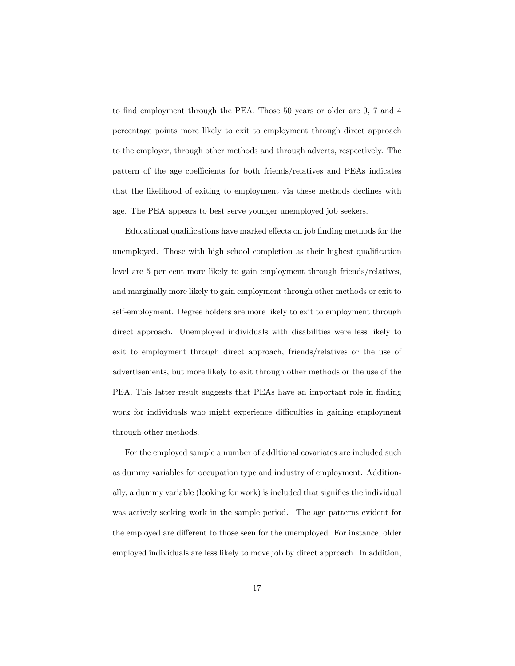to find employment through the PEA. Those 50 years or older are 9, 7 and 4 percentage points more likely to exit to employment through direct approach to the employer, through other methods and through adverts, respectively. The pattern of the age coefficients for both friends/relatives and PEAs indicates that the likelihood of exiting to employment via these methods declines with age. The PEA appears to best serve younger unemployed job seekers.

Educational qualifications have marked effects on job finding methods for the unemployed. Those with high school completion as their highest qualification level are 5 per cent more likely to gain employment through friends/relatives, and marginally more likely to gain employment through other methods or exit to self-employment. Degree holders are more likely to exit to employment through direct approach. Unemployed individuals with disabilities were less likely to exit to employment through direct approach, friends/relatives or the use of advertisements, but more likely to exit through other methods or the use of the PEA. This latter result suggests that PEAs have an important role in finding work for individuals who might experience difficulties in gaining employment through other methods.

For the employed sample a number of additional covariates are included such as dummy variables for occupation type and industry of employment. Additionally, a dummy variable (looking for work) is included that signifies the individual was actively seeking work in the sample period. The age patterns evident for the employed are different to those seen for the unemployed. For instance, older employed individuals are less likely to move job by direct approach. In addition,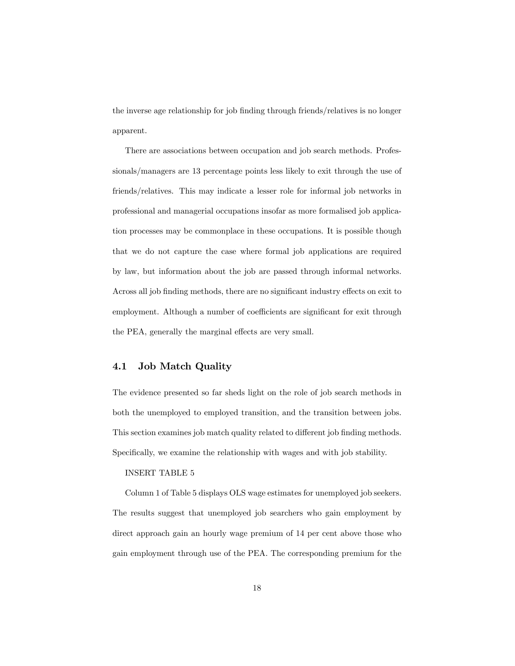the inverse age relationship for job finding through friends/relatives is no longer apparent.

There are associations between occupation and job search methods. Professionals/managers are 13 percentage points less likely to exit through the use of friends/relatives. This may indicate a lesser role for informal job networks in professional and managerial occupations insofar as more formalised job application processes may be commonplace in these occupations. It is possible though that we do not capture the case where formal job applications are required by law, but information about the job are passed through informal networks. Across all job finding methods, there are no significant industry effects on exit to employment. Although a number of coefficients are significant for exit through the PEA, generally the marginal effects are very small.

## 4.1 Job Match Quality

The evidence presented so far sheds light on the role of job search methods in both the unemployed to employed transition, and the transition between jobs. This section examines job match quality related to different job finding methods. Specifically, we examine the relationship with wages and with job stability.

#### INSERT TABLE 5

Column 1 of Table 5 displays OLS wage estimates for unemployed job seekers. The results suggest that unemployed job searchers who gain employment by direct approach gain an hourly wage premium of 14 per cent above those who gain employment through use of the PEA. The corresponding premium for the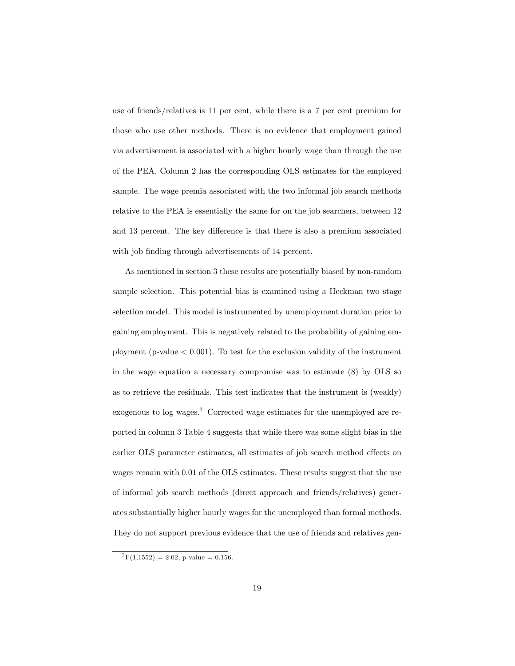use of friends/relatives is 11 per cent, while there is a 7 per cent premium for those who use other methods. There is no evidence that employment gained via advertisement is associated with a higher hourly wage than through the use of the PEA. Column 2 has the corresponding OLS estimates for the employed sample. The wage premia associated with the two informal job search methods relative to the PEA is essentially the same for on the job searchers, between 12 and 13 percent. The key difference is that there is also a premium associated with job finding through advertisements of 14 percent.

As mentioned in section 3 these results are potentially biased by non-random sample selection. This potential bias is examined using a Heckman two stage selection model. This model is instrumented by unemployment duration prior to gaining employment. This is negatively related to the probability of gaining employment (p-value  $< 0.001$ ). To test for the exclusion validity of the instrument in the wage equation a necessary compromise was to estimate (8) by OLS so as to retrieve the residuals. This test indicates that the instrument is (weakly) exogenous to log wages.<sup>7</sup> Corrected wage estimates for the unemployed are reported in column 3 Table 4 suggests that while there was some slight bias in the earlier OLS parameter estimates, all estimates of job search method effects on wages remain with 0.01 of the OLS estimates. These results suggest that the use of informal job search methods (direct approach and friends/relatives) generates substantially higher hourly wages for the unemployed than formal methods. They do not support previous evidence that the use of friends and relatives gen-

 ${}^{7}F(1,1552) = 2.02$ , p-value = 0.156.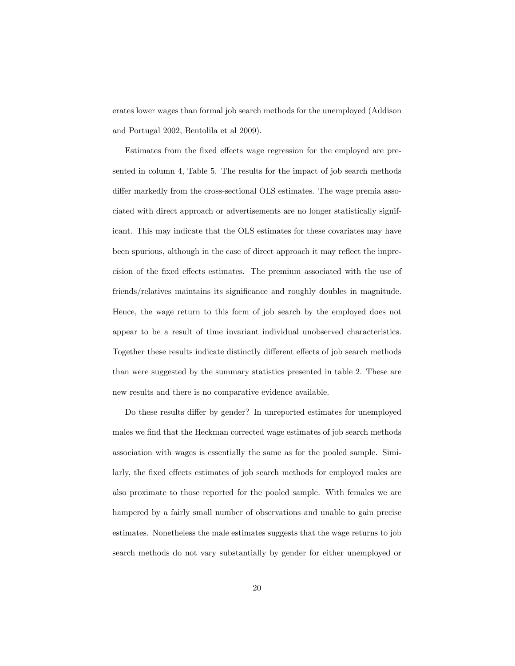erates lower wages than formal job search methods for the unemployed (Addison and Portugal 2002, Bentolila et al 2009).

Estimates from the fixed effects wage regression for the employed are presented in column 4, Table 5. The results for the impact of job search methods differ markedly from the cross-sectional OLS estimates. The wage premia associated with direct approach or advertisements are no longer statistically significant. This may indicate that the OLS estimates for these covariates may have been spurious, although in the case of direct approach it may reflect the imprecision of the fixed effects estimates. The premium associated with the use of friends/relatives maintains its significance and roughly doubles in magnitude. Hence, the wage return to this form of job search by the employed does not appear to be a result of time invariant individual unobserved characteristics. Together these results indicate distinctly different effects of job search methods than were suggested by the summary statistics presented in table 2. These are new results and there is no comparative evidence available.

Do these results differ by gender? In unreported estimates for unemployed males we find that the Heckman corrected wage estimates of job search methods association with wages is essentially the same as for the pooled sample. Similarly, the fixed effects estimates of job search methods for employed males are also proximate to those reported for the pooled sample. With females we are hampered by a fairly small number of observations and unable to gain precise estimates. Nonetheless the male estimates suggests that the wage returns to job search methods do not vary substantially by gender for either unemployed or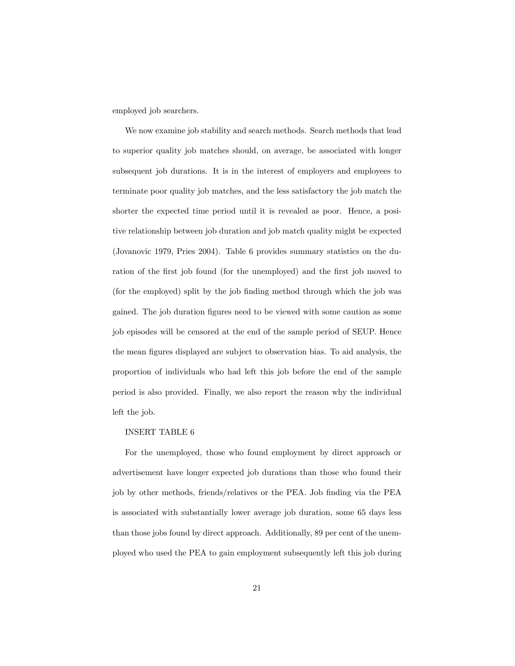employed job searchers.

We now examine job stability and search methods. Search methods that lead to superior quality job matches should, on average, be associated with longer subsequent job durations. It is in the interest of employers and employees to terminate poor quality job matches, and the less satisfactory the job match the shorter the expected time period until it is revealed as poor. Hence, a positive relationship between job duration and job match quality might be expected (Jovanovic 1979, Pries 2004). Table 6 provides summary statistics on the duration of the first job found (for the unemployed) and the first job moved to (for the employed) split by the job finding method through which the job was gained. The job duration figures need to be viewed with some caution as some job episodes will be censored at the end of the sample period of SEUP. Hence the mean figures displayed are subject to observation bias. To aid analysis, the proportion of individuals who had left this job before the end of the sample period is also provided. Finally, we also report the reason why the individual left the job.

#### INSERT TABLE 6

For the unemployed, those who found employment by direct approach or advertisement have longer expected job durations than those who found their job by other methods, friends/relatives or the PEA. Job Önding via the PEA is associated with substantially lower average job duration, some 65 days less than those jobs found by direct approach. Additionally, 89 per cent of the unemployed who used the PEA to gain employment subsequently left this job during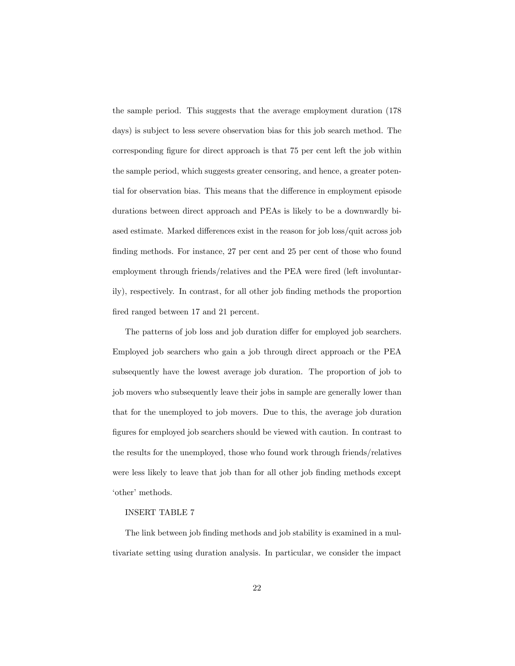the sample period. This suggests that the average employment duration (178 days) is subject to less severe observation bias for this job search method. The corresponding figure for direct approach is that 75 per cent left the job within the sample period, which suggests greater censoring, and hence, a greater potential for observation bias. This means that the difference in employment episode durations between direct approach and PEAs is likely to be a downwardly biased estimate. Marked differences exist in the reason for job loss/quit across job finding methods. For instance, 27 per cent and 25 per cent of those who found employment through friends/relatives and the PEA were fired (left involuntarily), respectively. In contrast, for all other job finding methods the proportion fired ranged between 17 and 21 percent.

The patterns of job loss and job duration differ for employed job searchers. Employed job searchers who gain a job through direct approach or the PEA subsequently have the lowest average job duration. The proportion of job to job movers who subsequently leave their jobs in sample are generally lower than that for the unemployed to job movers. Due to this, the average job duration Ögures for employed job searchers should be viewed with caution. In contrast to the results for the unemployed, those who found work through friends/relatives were less likely to leave that job than for all other job finding methods except 'other' methods.

#### INSERT TABLE 7

The link between job finding methods and job stability is examined in a multivariate setting using duration analysis. In particular, we consider the impact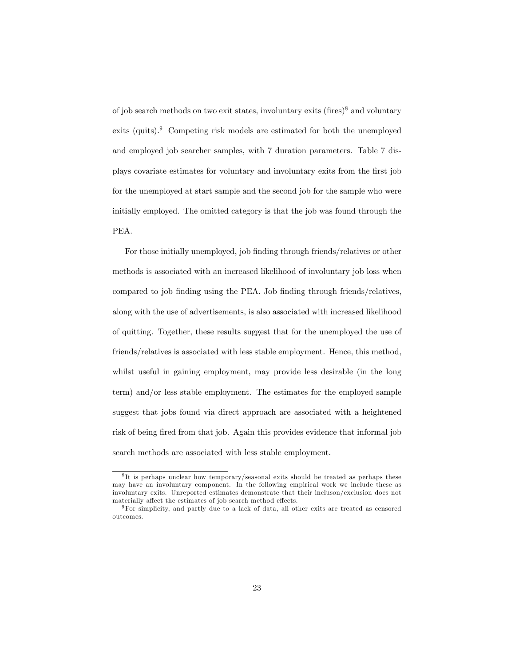of job search methods on two exit states, involuntary exits  $(\text{fires})^8$  and voluntary exits (quits).<sup>9</sup> Competing risk models are estimated for both the unemployed and employed job searcher samples, with 7 duration parameters. Table 7 displays covariate estimates for voluntary and involuntary exits from the Örst job for the unemployed at start sample and the second job for the sample who were initially employed. The omitted category is that the job was found through the PEA.

For those initially unemployed, job finding through friends/relatives or other methods is associated with an increased likelihood of involuntary job loss when compared to job finding using the PEA. Job finding through friends/relatives, along with the use of advertisements, is also associated with increased likelihood of quitting. Together, these results suggest that for the unemployed the use of friends/relatives is associated with less stable employment. Hence, this method, whilst useful in gaining employment, may provide less desirable (in the long term) and/or less stable employment. The estimates for the employed sample suggest that jobs found via direct approach are associated with a heightened risk of being fired from that job. Again this provides evidence that informal job search methods are associated with less stable employment.

<sup>&</sup>lt;sup>8</sup>It is perhaps unclear how temporary/seasonal exits should be treated as perhaps these may have an involuntary component. In the following empirical work we include these as involuntary exits. Unreported estimates demonstrate that their incluson/exclusion does not materially affect the estimates of job search method effects.

<sup>9</sup>For simplicity, and partly due to a lack of data, all other exits are treated as censored outcomes.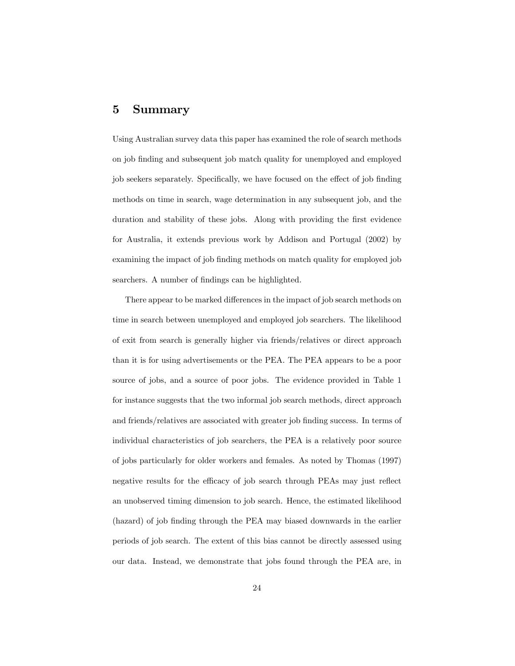## 5 Summary

Using Australian survey data this paper has examined the role of search methods on job Önding and subsequent job match quality for unemployed and employed job seekers separately. Specifically, we have focused on the effect of job finding methods on time in search, wage determination in any subsequent job, and the duration and stability of these jobs. Along with providing the first evidence for Australia, it extends previous work by Addison and Portugal (2002) by examining the impact of job finding methods on match quality for employed job searchers. A number of findings can be highlighted.

There appear to be marked differences in the impact of job search methods on time in search between unemployed and employed job searchers. The likelihood of exit from search is generally higher via friends/relatives or direct approach than it is for using advertisements or the PEA. The PEA appears to be a poor source of jobs, and a source of poor jobs. The evidence provided in Table 1 for instance suggests that the two informal job search methods, direct approach and friends/relatives are associated with greater job finding success. In terms of individual characteristics of job searchers, the PEA is a relatively poor source of jobs particularly for older workers and females. As noted by Thomas (1997) negative results for the efficacy of job search through PEAs may just reflect an unobserved timing dimension to job search. Hence, the estimated likelihood (hazard) of job finding through the PEA may biased downwards in the earlier periods of job search. The extent of this bias cannot be directly assessed using our data. Instead, we demonstrate that jobs found through the PEA are, in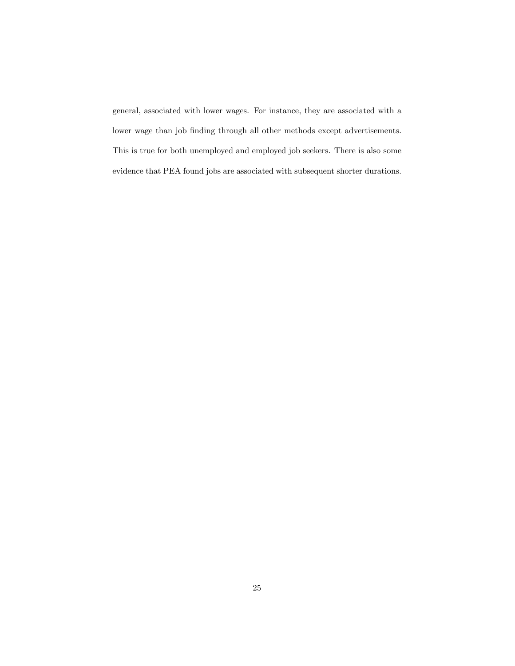general, associated with lower wages. For instance, they are associated with a lower wage than job finding through all other methods except advertisements. This is true for both unemployed and employed job seekers. There is also some evidence that PEA found jobs are associated with subsequent shorter durations.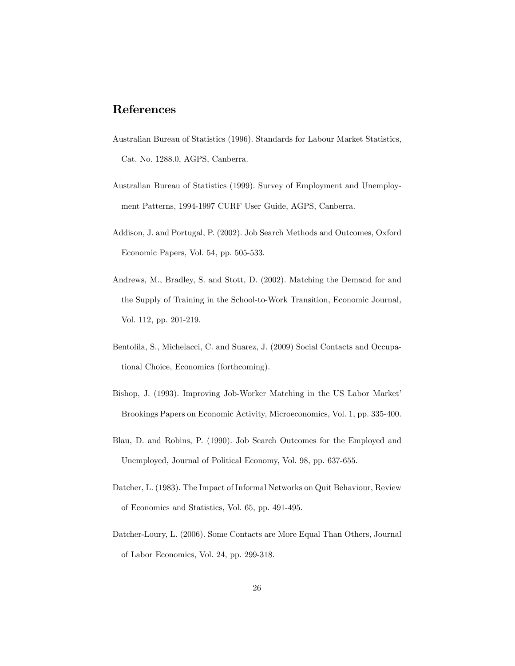# References

- Australian Bureau of Statistics (1996). Standards for Labour Market Statistics, Cat. No. 1288.0, AGPS, Canberra.
- Australian Bureau of Statistics (1999). Survey of Employment and Unemployment Patterns, 1994-1997 CURF User Guide, AGPS, Canberra.
- Addison, J. and Portugal, P. (2002). Job Search Methods and Outcomes, Oxford Economic Papers, Vol. 54, pp. 505-533.
- Andrews, M., Bradley, S. and Stott, D. (2002). Matching the Demand for and the Supply of Training in the School-to-Work Transition, Economic Journal, Vol. 112, pp. 201-219.
- Bentolila, S., Michelacci, C. and Suarez, J. (2009) Social Contacts and Occupational Choice, Economica (forthcoming).
- Bishop, J. (1993). Improving Job-Worker Matching in the US Labor Market' Brookings Papers on Economic Activity, Microeconomics, Vol. 1, pp. 335-400.
- Blau, D. and Robins, P. (1990). Job Search Outcomes for the Employed and Unemployed, Journal of Political Economy, Vol. 98, pp. 637-655.
- Datcher, L. (1983). The Impact of Informal Networks on Quit Behaviour, Review of Economics and Statistics, Vol. 65, pp. 491-495.
- Datcher-Loury, L. (2006). Some Contacts are More Equal Than Others, Journal of Labor Economics, Vol. 24, pp. 299-318.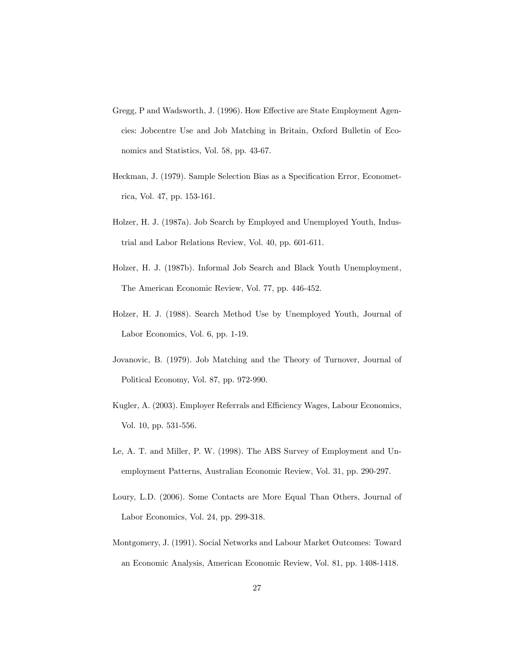- Gregg, P and Wadsworth, J. (1996). How Effective are State Employment Agencies: Jobcentre Use and Job Matching in Britain, Oxford Bulletin of Economics and Statistics, Vol. 58, pp. 43-67.
- Heckman, J. (1979). Sample Selection Bias as a Specification Error, Econometrica, Vol. 47, pp. 153-161.
- Holzer, H. J. (1987a). Job Search by Employed and Unemployed Youth, Industrial and Labor Relations Review, Vol. 40, pp. 601-611.
- Holzer, H. J. (1987b). Informal Job Search and Black Youth Unemployment, The American Economic Review, Vol. 77, pp. 446-452.
- Holzer, H. J. (1988). Search Method Use by Unemployed Youth, Journal of Labor Economics, Vol. 6, pp. 1-19.
- Jovanovic, B. (1979). Job Matching and the Theory of Turnover, Journal of Political Economy, Vol. 87, pp. 972-990.
- Kugler, A. (2003). Employer Referrals and Efficiency Wages, Labour Economics, Vol. 10, pp. 531-556.
- Le, A. T. and Miller, P. W. (1998). The ABS Survey of Employment and Unemployment Patterns, Australian Economic Review, Vol. 31, pp. 290-297.
- Loury, L.D. (2006). Some Contacts are More Equal Than Others, Journal of Labor Economics, Vol. 24, pp. 299-318.
- Montgomery, J. (1991). Social Networks and Labour Market Outcomes: Toward an Economic Analysis, American Economic Review, Vol. 81, pp. 1408-1418.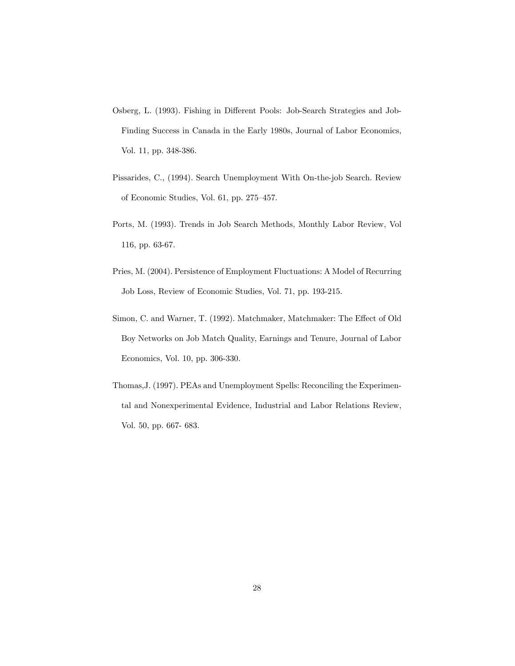- Osberg, L. (1993). Fishing in Different Pools: Job-Search Strategies and Job-Finding Success in Canada in the Early 1980s, Journal of Labor Economics, Vol. 11, pp. 348-386.
- Pissarides, C., (1994). Search Unemployment With On-the-job Search. Review of Economic Studies, Vol. 61, pp.  $275-457$ .
- Ports, M. (1993). Trends in Job Search Methods, Monthly Labor Review, Vol 116, pp. 63-67.
- Pries, M. (2004). Persistence of Employment Fluctuations: A Model of Recurring Job Loss, Review of Economic Studies, Vol. 71, pp. 193-215.
- Simon, C. and Warner, T. (1992). Matchmaker, Matchmaker: The Effect of Old Boy Networks on Job Match Quality, Earnings and Tenure, Journal of Labor Economics, Vol. 10, pp. 306-330.
- Thomas,J. (1997). PEAs and Unemployment Spells: Reconciling the Experimental and Nonexperimental Evidence, Industrial and Labor Relations Review, Vol. 50, pp. 667- 683.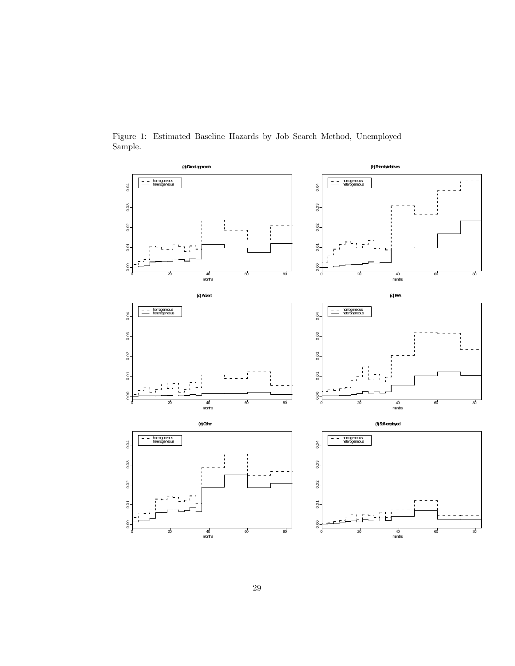

Figure 1: Estimated Baseline Hazards by Job Search Method, Unemployed Sample.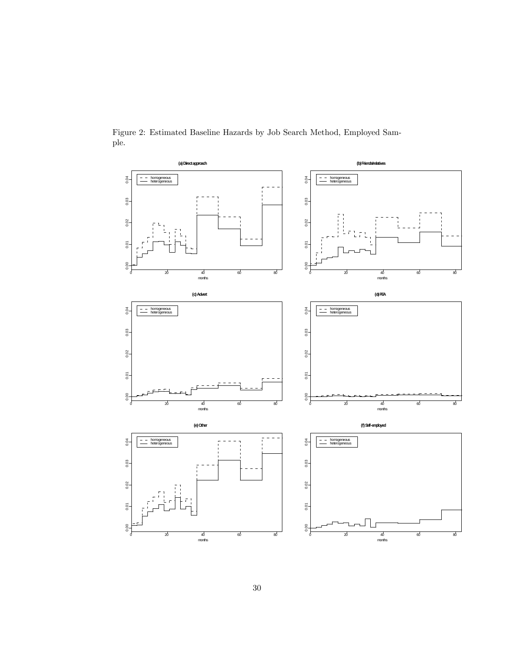

Figure 2: Estimated Baseline Hazards by Job Search Method, Employed Sample.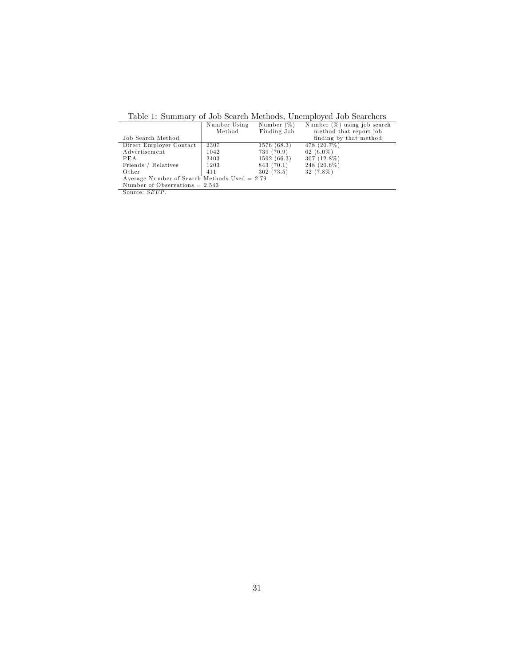| Table 1: Summary of Job Search Methods, Unemployed Job Searchers |              |               |                                |  |  |  |  |
|------------------------------------------------------------------|--------------|---------------|--------------------------------|--|--|--|--|
|                                                                  | Number Using | Number $(\%)$ | Number $(\%)$ using job search |  |  |  |  |
|                                                                  | Method       | Finding Job   | method that report job         |  |  |  |  |
| Job Search Method                                                |              |               | finding by that method         |  |  |  |  |
| Direct Employer Contact                                          | 2307         | 1576 (68.3)   | 478(20.7%)                     |  |  |  |  |
| Advertisement                                                    | 1042         | 739 (70.9)    | 62 $(6.0\%)$                   |  |  |  |  |
| PEA                                                              | 2403         | 1592(66.3)    | $307(12.8\%)$                  |  |  |  |  |
| Friends / Relatives                                              | 1203         | 843 (70.1)    | $248(20.6\%)$                  |  |  |  |  |
| Other                                                            | 411          | 302(73.5)     | 32 (7.8%)                      |  |  |  |  |
| Average Number of Search Methods Used $= 2.79$                   |              |               |                                |  |  |  |  |
| Number of Observations $= 2.543$                                 |              |               |                                |  |  |  |  |
| Source: SEUP.                                                    |              |               |                                |  |  |  |  |

Table 1: Summary of Job Search Methods, Unemployed Job Searchers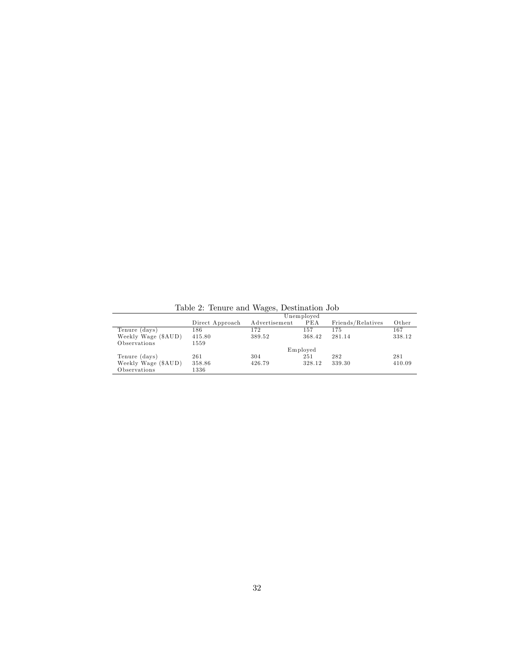|                     |                 |               | Unemployed |                   |        |
|---------------------|-----------------|---------------|------------|-------------------|--------|
|                     | Direct Approach | Advertisement | PEA        | Friends/Relatives | Other  |
| Tenure (days)       | 186             | 172           | 157        | 175               | 167    |
| Weekly Wage (\$AUD) | 415.80          | 389.52        | 368.42     | 281.14            | 338.12 |
| Observations        | 1559            |               |            |                   |        |
|                     |                 |               | Employed   |                   |        |
| Tenure (days)       | 261             | 304           | 251        | 282               | 281    |
| Weekly Wage (\$AUD) | 358.86          | 426.79        | 328.12     | 339.30            | 410.09 |
| Observations        | 1336            |               |            |                   |        |

Table 2: Tenure and Wages, Destination Job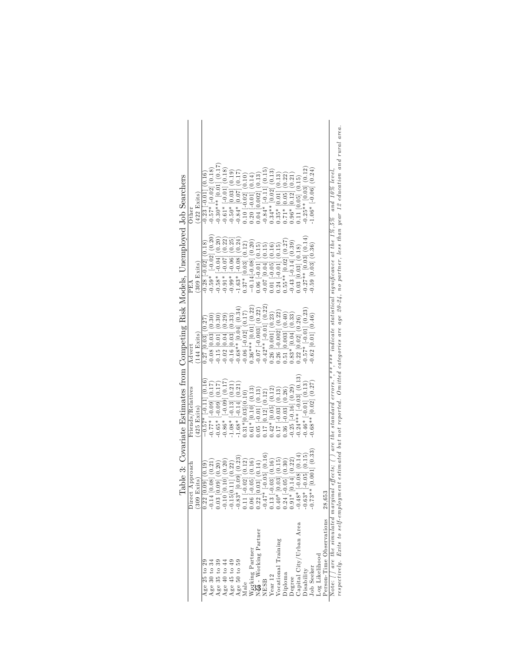|                                                  |                                                                                                                                                                                                                                                                                                                                                                                                 | Topic of Contract in the House House of the Contract Structure of the Contract of the Contract of the Contract of the House of the Contract of the Contract of the Contract of the Contract of the Contract of the Contract of |                                                                                                                                                        |                                                                                                                                                                                                          |                                                                                                                                                                                                                                                                                                                                                                                                                                                                     |
|--------------------------------------------------|-------------------------------------------------------------------------------------------------------------------------------------------------------------------------------------------------------------------------------------------------------------------------------------------------------------------------------------------------------------------------------------------------|--------------------------------------------------------------------------------------------------------------------------------------------------------------------------------------------------------------------------------|--------------------------------------------------------------------------------------------------------------------------------------------------------|----------------------------------------------------------------------------------------------------------------------------------------------------------------------------------------------------------|---------------------------------------------------------------------------------------------------------------------------------------------------------------------------------------------------------------------------------------------------------------------------------------------------------------------------------------------------------------------------------------------------------------------------------------------------------------------|
|                                                  | Approach<br>Direct                                                                                                                                                                                                                                                                                                                                                                              | Friends/Relatives                                                                                                                                                                                                              | $_{\rm Advert}$                                                                                                                                        | PEA                                                                                                                                                                                                      | Other                                                                                                                                                                                                                                                                                                                                                                                                                                                               |
|                                                  | xits)<br>(309 E)                                                                                                                                                                                                                                                                                                                                                                                | $(425$ Exits)                                                                                                                                                                                                                  | $(144$ Exits)                                                                                                                                          | $(309$ Exits)                                                                                                                                                                                            | $(422 \text{ Exits})$                                                                                                                                                                                                                                                                                                                                                                                                                                               |
| Age 25 to 29                                     | 0.09(0.19)<br>$0.22$ [                                                                                                                                                                                                                                                                                                                                                                          | $-0.57*$ [-0.11] (0.16)                                                                                                                                                                                                        | $0.27$ [0.03] $(0.27)$                                                                                                                                 | $0.28[-0.02]$ $(0.18)$                                                                                                                                                                                   | $0.23[-0.01](0.16)$                                                                                                                                                                                                                                                                                                                                                                                                                                                 |
| Age 30 to $34$                                   | [0.08](0.21)<br>0.14                                                                                                                                                                                                                                                                                                                                                                            | $-0.77*$ $[-0.09]$ $(0.17)$                                                                                                                                                                                                    | $0.08$ [0.03] $(0.30)$                                                                                                                                 | $\begin{bmatrix} -0.02 \\ 0.20 \end{bmatrix} \begin{bmatrix} 0.20 \\ 0.20 \end{bmatrix}$<br>$0.59*$                                                                                                      | $0.57*$ [-0.02] $(0.18)$                                                                                                                                                                                                                                                                                                                                                                                                                                            |
| Age 35 to 39                                     | $0.09$ $(0.20)$<br>$0.03$ [f                                                                                                                                                                                                                                                                                                                                                                    | $-0.65*$ $[-0.09]$ $(0.17)$                                                                                                                                                                                                    |                                                                                                                                                        | $0.58*$                                                                                                                                                                                                  | $0.30***$ [0.01] (0.17                                                                                                                                                                                                                                                                                                                                                                                                                                              |
| Age $40$ to $44$                                 |                                                                                                                                                                                                                                                                                                                                                                                                 |                                                                                                                                                                                                                                |                                                                                                                                                        | $\begin{bmatrix} -0.07 \\ 0.10 \\ 0.06 \end{bmatrix} \begin{bmatrix} 0.22 \\ 0.25 \end{bmatrix}$<br>$0.91*$                                                                                              |                                                                                                                                                                                                                                                                                                                                                                                                                                                                     |
| Age 45 to 49                                     | $\begin{array}{l} -0.10 \left[ 0.20 \right) \\ -0.15 \left[ 0.11 \right] \left( 0.22 \right) \\ -0.83^{*} \left[ 0.09 \right] \left( 0.23 \right) \\ -0.83^{*} \left[ 0.09 \right] \left( 0.23 \right) \\ -0.83^{*} \left[ 0.09 \right] \left( 0.23 \right) \\ 0.06 \left[ -0.05 \right] \left( 0.16 \right) \\ 0.22 \left[ 0.03 \right] \left( 0.14 \right) \\ -0.47^{*} \left[ -0.05 \right]$ | $-0.86*$ $[-0.09]$ $(0.17)$<br>$-1.08*$ $[-0.13]$ $(0.21)$                                                                                                                                                                     | $\begin{array}{c} -0.15\:[0.01]\:[0.30)\\ -0.02\:[0.04]\:[0.29)\\ -0.16\:[0.03]\:[0.33)\\ -0.68**\:[0.04]\:[0.34)\\ -0.06\:[0.02]\:[0.17) \end{array}$ | $0.99*$                                                                                                                                                                                                  | $\begin{bmatrix} -0.61* & -0.01 & 0.18 \\ -0.50* & 0.03 & 0.19 \\ -0.84* & 0.07 & 0.19 \end{bmatrix}$                                                                                                                                                                                                                                                                                                                                                               |
| Age 50 to 59                                     |                                                                                                                                                                                                                                                                                                                                                                                                 | $1.68*$ [-0.14] $(0.21)$                                                                                                                                                                                                       |                                                                                                                                                        | $[-0.08]$ $(0.24)$<br>$1.63*$                                                                                                                                                                            |                                                                                                                                                                                                                                                                                                                                                                                                                                                                     |
| Male                                             |                                                                                                                                                                                                                                                                                                                                                                                                 | $0.31*[0.03](0.10)$                                                                                                                                                                                                            |                                                                                                                                                        |                                                                                                                                                                                                          | $(0.10 - -0.02) (0.10)$                                                                                                                                                                                                                                                                                                                                                                                                                                             |
|                                                  |                                                                                                                                                                                                                                                                                                                                                                                                 |                                                                                                                                                                                                                                | $0.36***$ [0.01] (0.22)                                                                                                                                | $\begin{array}{c} 0.37^* \ [0.03] \ (0.12) \\ -0.14[-0.08] \ (0.20) \end{array}$                                                                                                                         |                                                                                                                                                                                                                                                                                                                                                                                                                                                                     |
| Working Partner<br>N <b>on</b> - Working Partner |                                                                                                                                                                                                                                                                                                                                                                                                 | $\begin{array}{c} 0.61* [0.10] \ (0.13) \ 0.05 [ -0.01] \ (0.13) \end{array}$                                                                                                                                                  | $-0.07$ $[-0.003]$ $(0.22)$                                                                                                                            | $0.06$ [-0.01] $(0.15)$                                                                                                                                                                                  |                                                                                                                                                                                                                                                                                                                                                                                                                                                                     |
| <b>NESB</b>                                      | $[-0.05](0.16)$<br>$-0.03](0.16)$                                                                                                                                                                                                                                                                                                                                                               | $0.17$ $[0.12]$ $(0.12)$                                                                                                                                                                                                       | $0.42**$ [-0.01] (0.22)                                                                                                                                | $\begin{array}{c} -0.07\left[0.04\right]\left(0.15\right)\\ 0.01\left[-0.05\right]\left(0.16\right)\\ 0.24\left[-0.01\right]\left(0.15\right)\\ 0.55^{**}\left[0.02\right]\left(0.27\right) \end{array}$ | $\begin{array}{l} 0.20\ \textcolor{red}{\upharpoonright} 0.01\ \textcolor{red}{\upharpoonright} 0.01\ \textcolor{red}{\upharpoonright} 0.01\ \textcolor{red}{\upharpoonright} 0.14)\\ 0.04\ \textcolor{red}{\upharpoonright} 0.002\ \textcolor{red}{\upharpoonright} 0.13)\\ -0.84^*\ \textcolor{red}{\upharpoonright} 0.11\ \textcolor{red}{\upharpoonright} 0.15)\\ 0.34^{**}\ \textcolor{red}{\upharpoonright} 0.02\ \textcolor{red}{\upharpoonright} (0.13)\\ $ |
| Year 12                                          |                                                                                                                                                                                                                                                                                                                                                                                                 | $0.42* [0.05]~(0.12)$<br>$0.17[-0.03]~(0.13)$                                                                                                                                                                                  | $0.26$ [0.001] $(0.23)$                                                                                                                                |                                                                                                                                                                                                          |                                                                                                                                                                                                                                                                                                                                                                                                                                                                     |
| Vocational Training                              | [0.03] (0.15)                                                                                                                                                                                                                                                                                                                                                                                   |                                                                                                                                                                                                                                | $0.26$ [-0.002] $(0.22)$                                                                                                                               |                                                                                                                                                                                                          |                                                                                                                                                                                                                                                                                                                                                                                                                                                                     |
| Diploma                                          | $0.24$ $[-0.05]$ $(0.30)$<br>$0.91*$ $[0.14]$ $(0.22)$                                                                                                                                                                                                                                                                                                                                          | $0.36$ $[-0.03]$ $(0.26)$                                                                                                                                                                                                      | $.51$ [0.003] $(0.40)$                                                                                                                                 |                                                                                                                                                                                                          | $\begin{array}{c} 0.71^{*} \left[ 0.05 \right] \ (0.22) \\ 0.96^{*} \ (0.12] \ (0.21) \end{array}$                                                                                                                                                                                                                                                                                                                                                                  |
| Degree                                           | $[0.14]$ $(0.22)$                                                                                                                                                                                                                                                                                                                                                                               | $-0.25$ $[-0.16]$ $(0.29)$                                                                                                                                                                                                     | $0.83*$ [0.04] $(0.33)$                                                                                                                                | $0.43$ [-0.14] $(0.39)$                                                                                                                                                                                  |                                                                                                                                                                                                                                                                                                                                                                                                                                                                     |
| Capital City/Urban Area                          | $[-0.08]$ $(0.14)$<br>$-0.48*$                                                                                                                                                                                                                                                                                                                                                                  | $0.24***$ [-0.03] (0.13)                                                                                                                                                                                                       | $0.22$ [ $0.02$ ] $(0.26)$                                                                                                                             | $0.03$ [0.03] $(0.18)$                                                                                                                                                                                   | $0.11$ [0.05] $(0.15)$                                                                                                                                                                                                                                                                                                                                                                                                                                              |
| Disability                                       | $[-0.05]$ $(0.15)$<br>$-0.63*$                                                                                                                                                                                                                                                                                                                                                                  | $0.46*$ [-0.01] (0.13)                                                                                                                                                                                                         | $0.57*$ [-0.01] $(0.23)$                                                                                                                               | $0.27**$ [0.03] $(0.14)$                                                                                                                                                                                 | $0.25**$ [0.03] (0.12)                                                                                                                                                                                                                                                                                                                                                                                                                                              |
| <b>Job</b> Seeker                                | $*$ [0.001] $(0.33)$<br>$-0.73**$                                                                                                                                                                                                                                                                                                                                                               | $0.68**$ [0.02] $(0.27)$                                                                                                                                                                                                       | $0.62$ [0.01] $(0.46)$                                                                                                                                 | $0.59$ [0.03] $(0.36)$                                                                                                                                                                                   | $1.06*$ [-0.06] $(0.24)$                                                                                                                                                                                                                                                                                                                                                                                                                                            |
| Log Likelihood                                   |                                                                                                                                                                                                                                                                                                                                                                                                 |                                                                                                                                                                                                                                |                                                                                                                                                        |                                                                                                                                                                                                          |                                                                                                                                                                                                                                                                                                                                                                                                                                                                     |
| Person-Time Observations                         | 28,653                                                                                                                                                                                                                                                                                                                                                                                          |                                                                                                                                                                                                                                |                                                                                                                                                        |                                                                                                                                                                                                          |                                                                                                                                                                                                                                                                                                                                                                                                                                                                     |
| Note: [ ] are the simulated marginal effects; (  |                                                                                                                                                                                                                                                                                                                                                                                                 | ) are the standard errors. *, **, *** indicate statistical significance at the 1%, 5% and 10% level,                                                                                                                           |                                                                                                                                                        |                                                                                                                                                                                                          |                                                                                                                                                                                                                                                                                                                                                                                                                                                                     |

| l<br>I<br>l<br>i<br>l<br>١<br>ו<br>ו |  |
|--------------------------------------|--|
| l                                    |  |
| l                                    |  |
| ı                                    |  |
| i<br>I<br>j                          |  |
|                                      |  |
|                                      |  |
| ļ                                    |  |
|                                      |  |
| I                                    |  |
|                                      |  |
| ׇׇ֕֕֡<br>١                           |  |
|                                      |  |

1 cross-1 have Upstratures – 203000 effects; ( ) are the standard errors.\*,\*\*,\*\*\* indicate statistical significance at the 1%,5% and 10% level,<br>Note: [ ] are the simulated marginal effects; ( ) are the standard errors.\*,\*\* respectively. Exits to self-employment estimated but not reported . Omitted categories are age 20-24, no partner, less than year 12 education and rural area.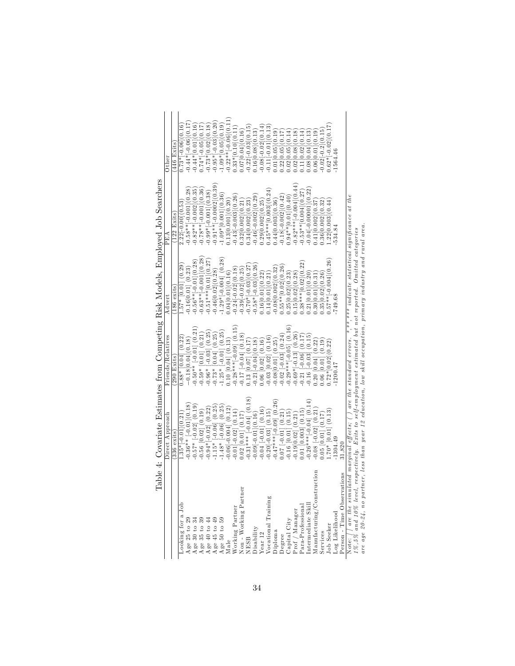|                                                                                                                                                                                                           | capie +. Ooverland Paragognes Home Hounder House House Hounder House House House Hounder House                                                                                                                              |                                                                                                                    |                                                   |                                            |                                                                                                                                  |
|-----------------------------------------------------------------------------------------------------------------------------------------------------------------------------------------------------------|-----------------------------------------------------------------------------------------------------------------------------------------------------------------------------------------------------------------------------|--------------------------------------------------------------------------------------------------------------------|---------------------------------------------------|--------------------------------------------|----------------------------------------------------------------------------------------------------------------------------------|
|                                                                                                                                                                                                           | Direct Approach                                                                                                                                                                                                             | Friends/Relatives                                                                                                  | Advert                                            | PEA                                        | Other                                                                                                                            |
|                                                                                                                                                                                                           | 336 exits                                                                                                                                                                                                                   | 290 Exits                                                                                                          | $(186 \text{ exits})$                             | $(122$ Exits)                              | $(446$ Exits                                                                                                                     |
| ooking for a Job                                                                                                                                                                                          | $1.35*[-0.01](0.21)$                                                                                                                                                                                                        | $0.88*$ [0.04] (0.22)                                                                                              | $1.57*$ [0.01] $(0.29)$                           | $2.22[-0.00](0.53)$                        | $0.73*[0.06](0.16)$                                                                                                              |
|                                                                                                                                                                                                           | $-0.36**$ $[-0.01](0.18)$                                                                                                                                                                                                   | $-0.18[0.04](0.18)$                                                                                                | $-0.16[0.01]$ $(0.23)$                            | $-0.58**[-0.001](0.28)$                    | $-0.44*[-0.06](0.17)$                                                                                                            |
| ${\rm Age \ 25 \ to \ 29} \ {\rm Age \ 30 \ to \ 34} \ {\rm Age \ 35 \ to \ 34} \ {\rm Age \ 40 \ to \ 44} \ {\rm Age \ 45 \ to \ 49} \ {\rm Age \ 50 \ to \ 59} \ {\rm Age \ 50 \ to \ 59} \ {\rm Mala}$ | $-0.57*[-0.02]~(0.19)$<br>$-0.56~[0.02]~(0.19)$                                                                                                                                                                             | $-0.50**$ $[-0.01]$ $(0.21)$<br>$-0.59*$ $[0.01]$ $(0.21)$                                                         | $-0.56**[-0.01](0.28)$<br>$-0.63**[-0.001](0.28)$ | $-0.82**[-0.002](0.35)$                    | $-0.44*[0.01](0.16)$<br>0.74 $*[0.05](0.17)$                                                                                     |
|                                                                                                                                                                                                           |                                                                                                                                                                                                                             |                                                                                                                    |                                                   | $-0.78**$ $\left[-0.001\right](0.36)$      |                                                                                                                                  |
|                                                                                                                                                                                                           |                                                                                                                                                                                                                             |                                                                                                                    | $-0.51***[0.01](0.27)$<br>$-0.46[0.02](0.28)$     | $-0.99*[-0.001](0.38)$                     | $-0.73*[0.02](0.18)$<br>$-0.95*[0.03](0.20)$                                                                                     |
|                                                                                                                                                                                                           | $\begin{bmatrix} -0.94*[-0.02] & (0.22) \\ -1.15* & [-0.06] & (0.25) \end{bmatrix}$                                                                                                                                         | $-0.96*$ $\begin{bmatrix} -0.03 \ 0.25 \end{bmatrix}$<br>$-0.73*$ $\begin{bmatrix} 0.04 \ 0.25 \end{bmatrix}$      |                                                   | $-0.91**$ $-0.0002$ $(0.39$                |                                                                                                                                  |
|                                                                                                                                                                                                           | $-1.48*$ $[-0.06]$ $(0.25)$                                                                                                                                                                                                 | $-1.25*$ $[-0.01]$ $(0.25)$                                                                                        | $-1.29*[-0.004]$ (0.28                            | $-1.09*[0.001](0.36)$                      | $-1.09*[0.05](0.19)$                                                                                                             |
|                                                                                                                                                                                                           |                                                                                                                                                                                                                             | $0.10$ [0.04] $(0.13)$                                                                                             | 0.04[0.01](0.16)                                  | 0.13[0.001](0.20)                          |                                                                                                                                  |
| <b>Norking Partner</b>                                                                                                                                                                                    | $\begin{bmatrix} -0.06 \end{bmatrix} \begin{bmatrix} 0.004 \end{bmatrix} \begin{bmatrix} 0.12 \end{bmatrix}$<br>$\begin{bmatrix} 0.101 \end{bmatrix} \begin{bmatrix} 0.02 \end{bmatrix} \begin{bmatrix} 0.14 \end{bmatrix}$ | $-0.28***[-0.09]$ (0.15)                                                                                           | $-0.24[-0.02](0.18)$                              | $-0.43[-0.003](0.26)$                      | $\begin{array}{c} -0.22**[-0.06](0.11) \ 0.33* [0.10](0.11) \end{array}$                                                         |
| Non - Working Partner                                                                                                                                                                                     |                                                                                                                                                                                                                             | $\begin{bmatrix} -0.17 & -0.04 & 0.18 \ 0.13 & 0.07 & 0.17 \end{bmatrix}$                                          | $-0.39[-0.02](0.25)$<br>$-0.70*[-0.03](0.27)$     | $0.32[0.002](0.21)$<br>$0.34[0.002](0.23)$ | 0.07[0.04](0.16)                                                                                                                 |
| NESB                                                                                                                                                                                                      | $\begin{bmatrix} 0.02 & [0.01] & (0.17) \\ 0.31*** & [-0.04] & (0.18) \end{bmatrix}$                                                                                                                                        |                                                                                                                    |                                                   |                                            | $-0.22[-0.03](0.15)$                                                                                                             |
|                                                                                                                                                                                                           | $-0.09[-0.01](0.16)$                                                                                                                                                                                                        |                                                                                                                    | $-0.58*[-0.03](0.26)$                             | $-0.46[-0.002](0.29)$                      | 0.16[0.08](0.13)                                                                                                                 |
| $\begin{array}{c} \rm Disability \\ \rm Year \ 12 \end{array}$                                                                                                                                            | $-0.04$ $[-0.01]$ $(0.16)$                                                                                                                                                                                                  | $-0.21[-0.04](0.18)$<br>0.06 $[0.02](0.16)$                                                                        | 0.16[0.01](0.22)                                  | 0.29[0.002](0.25)                          | $-0.08[-0.02](0.14$                                                                                                              |
| Vocational Training                                                                                                                                                                                       | $-0.20[-0.03]$ (0.15)<br>$-0.47**+[0.09]$ (0.26)                                                                                                                                                                            | $0.03$ [ $0.02$ ] $(0.16)$                                                                                         | 0.14[0.01](0.21)                                  | $0.45***$ [0.003] $(0.24)$                 | $-0.11[-0.01](0.13)$                                                                                                             |
| Oiploma                                                                                                                                                                                                   |                                                                                                                                                                                                                             | $-0.08[0.01]$ $(0.25)$                                                                                             | $-0.08[0.002](0.32)$                              | 0.44[0.003](0.36)                          | 0.01[0.05](0.19)                                                                                                                 |
|                                                                                                                                                                                                           | $0.07$ [-0.01] $(0.21)$                                                                                                                                                                                                     | $0.02$ $[-0.03]$ $(0.24)$                                                                                          | $0.55**[0.02](0.26)$                              | $-0.18[-0.002](0.42)$                      | 0.22[0.05](0.17)                                                                                                                 |
| Degree<br>Capital City<br>Prof / Manager<br>Para-Professional                                                                                                                                             | $\begin{bmatrix} -0.16 & [0.01] & (0.15) \\ -0.19 & [0.02] & (0.21) \end{bmatrix}$                                                                                                                                          | $0.29**[-0.05]$ (0.16)                                                                                             | 0.25[0.02](0.23)                                  | $0.94**$ [0.01](0.40)                      | $\begin{array}{c} 0.02\, [0.05]\, (0.14)\\ 0.02\, [0.08]\, (0.18)\\ 0.11\, [0.02]\, (0.14)\\ 0.08\, [0.04]\, (0.13) \end{array}$ |
|                                                                                                                                                                                                           |                                                                                                                                                                                                                             | $-0.69*[-0.13]$ $(0.26)$                                                                                           | 0.15[0.02](0.28)                                  | $-0.82***$ $[-0.004](0.44)$                |                                                                                                                                  |
|                                                                                                                                                                                                           | $0.01$ [0.003] (0.15)<br>-0.26***[-0.04] (0.14)                                                                                                                                                                             | $\begin{bmatrix} -0.21 & -0.06 & 0.17 \end{bmatrix}$<br>$\begin{bmatrix} 0.17 & 0.16 & -0.03 & 0.15 \end{bmatrix}$ | $0.38**[0.02](0.22)$                              | $-0.53**$ [0.004] (0.27)                   |                                                                                                                                  |
|                                                                                                                                                                                                           |                                                                                                                                                                                                                             |                                                                                                                    | 0.21[0.01](0.20)                                  | $-0.04[-0.00001](0.22)$                    |                                                                                                                                  |
| uction<br>$In termediate SkillManufacturing/Construct$                                                                                                                                                    | $0.08[-0.02](0.21)$                                                                                                                                                                                                         | $0.20$ [0.04] $(0.22)$                                                                                             | 0.30[0.01](0.31)                                  | 0.41[0.002](0.37                           | 0.06[0.01](0.19)                                                                                                                 |
| Services<br>Job Seeker                                                                                                                                                                                    | $(0.05 \; [0.01] \; (0.17))$                                                                                                                                                                                                | $0.06$ [0.01] $(0.19)$                                                                                             | 0.35[0.02](0.26)                                  | 0.36[0.002](0.32)                          | $-0.02[-0.2](0.15)$                                                                                                              |
|                                                                                                                                                                                                           | $.70*$ [0.01] (0.13)                                                                                                                                                                                                        | $0.72*[0.02](0.22)$                                                                                                | $0.57**[-0.004](0.26)$                            | $.22[0.003]$ $(0.44$                       | $0.62*[-0.02](0.17)$                                                                                                             |
| Log Likelihood<br>Person - Time Observations                                                                                                                                                              | 1304.49                                                                                                                                                                                                                     | 1200.47                                                                                                            |                                                   | 534.84                                     | 1564.46                                                                                                                          |
|                                                                                                                                                                                                           | 31.820                                                                                                                                                                                                                      |                                                                                                                    |                                                   |                                            |                                                                                                                                  |
| Note: [] are the simulated marginal effects; ( ) are the standard errors. *,**,*** indicate statistical significance at the                                                                               |                                                                                                                                                                                                                             |                                                                                                                    |                                                   |                                            |                                                                                                                                  |

| ו<br>ו<br> <br> <br> <br>j     |
|--------------------------------|
|                                |
| l<br>$\overline{a}$            |
|                                |
| ļ                              |
| J<br>Ì                         |
| ļ<br>j                         |
| $\ddot{\phantom{a}}$<br>Ì<br>١ |
|                                |

are age 20 -24 , no partner , less than year 12 educa tion , low sk ill occupa tion , pr im ary industry and rural area . 1%,5% and 10% tevel, respectively. Exits to self-employment estimated but not reported. Omitted categories<br>are age 20-24, no partner, less than year 12 education, low skill occupation, primary industry and rural area.  $1\%, 5\%$  and  $10\%$  level, respectively. Exits to self-employment estimated but not reported. Omitted categories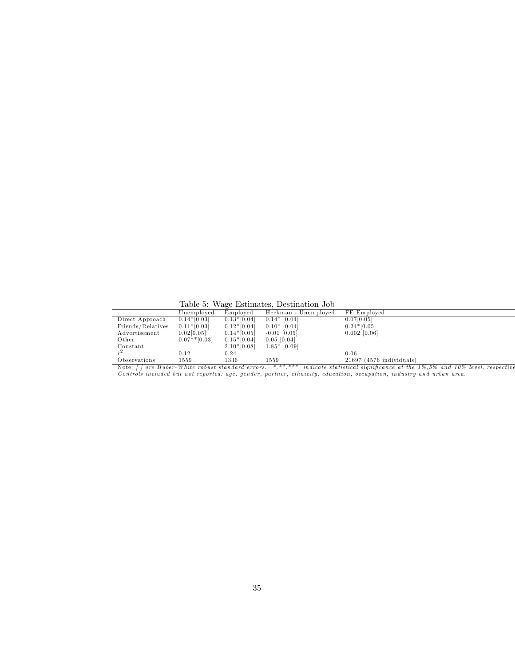Table 5: Wage Estimates, Destination Job

|                   |                 |               | Table 9. Wage Estimates, Destination Job |                            |
|-------------------|-----------------|---------------|------------------------------------------|----------------------------|
|                   | Unemploved      | Employed      | Heckman - Unemployed                     | FE Employed                |
| Direct Approach   | $0.14*[0.03]$   | $0.13*[0.04]$ | $0.14*$ [0.04]                           | 0.07[0.05]                 |
| Friends/Relatives | $0.11*[0.03]$   | $0.12*[0.04]$ | $0.10*$ [0.04]                           | $0.24*[0.05]$              |
| Advertisement     | 0.02[0.05]      | $0.14*[0.05]$ | $-0.01$ [0.05]                           | $0.002$ [0.06]             |
| Other             | $0.07**$ [0.03] | $0.15*[0.04]$ | $0.05$ [0.04]                            |                            |
| Constant          |                 | $2.10*[0.08]$ | $1.85*$ [0.09]                           |                            |
|                   | 0.12            | 0.24          |                                          | 0.06                       |
| Observations      | 1559            | 1336          | 1559                                     | $21697$ (4576 individuals) |

Note: [] are Huber-White robust standard errors. \*,\*\*,\*\*\* indicate statistical significance at the 1%,5% and 10% level, respective<br>Controls included but not reported: age, gender, partner, ethnicity, education, occupation,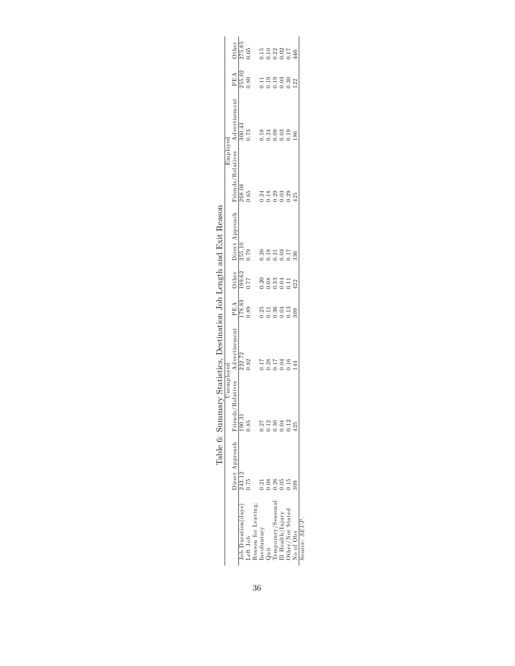|                                                                                      |                          | Unemploved            | ary Statistics, Destination Job Length and Exit Reason |                       |                                    |                                                     | Emploved                                               |                       |                                                                     |        |
|--------------------------------------------------------------------------------------|--------------------------|-----------------------|--------------------------------------------------------|-----------------------|------------------------------------|-----------------------------------------------------|--------------------------------------------------------|-----------------------|---------------------------------------------------------------------|--------|
|                                                                                      | Direct Approach Friends/ |                       | Relatives Advertisement                                | PEA                   |                                    | Direct Approach                                     | Friends/Relatives                                      | Advertisement         | PEA                                                                 | Other  |
| Job Duration(days)                                                                   | 243.12                   | 190.31                |                                                        |                       | $\frac{\rm Other}{199.62}$<br>0.77 |                                                     |                                                        |                       |                                                                     | 275.85 |
| Left Job                                                                             | 0.75                     | 0.85                  | $\frac{222.72}{0.82}$                                  | $\frac{178.83}{0.89}$ |                                    | $\frac{255.10}{0.79}$                               | $\frac{268.08}{0.65}$                                  | $\frac{300.43}{0.73}$ | $\frac{255.02}{0.80}$                                               | 0.65   |
| Reason for Leaving:                                                                  |                          |                       |                                                        |                       |                                    |                                                     |                                                        |                       |                                                                     |        |
| Involuntary                                                                          | 0.21                     |                       |                                                        |                       |                                    |                                                     |                                                        |                       |                                                                     |        |
| $Q$ uit                                                                              | 0.08                     |                       |                                                        |                       |                                    |                                                     |                                                        |                       |                                                                     |        |
|                                                                                      | 0.26                     |                       |                                                        |                       |                                    |                                                     |                                                        |                       |                                                                     |        |
| $\begin{array}{l} \mbox{Temporary/Seasonal} \\ \mbox{III Health/Injury} \end{array}$ | 0.05                     | 27<br>21304<br>223012 |                                                        |                       |                                    |                                                     |                                                        |                       |                                                                     |        |
| Other/Not Stated                                                                     | $\frac{5}{1}$            |                       | 1781744<br>0.000144                                    |                       | $2083311$<br>0.03311<br>0.00112    | $20.28$<br>$-2.53$<br>$-2.53$<br>$-2.58$<br>$-2.58$ | $7.18$<br>$0.18$<br>$0.03$<br>$0.25$<br>$0.25$<br>$42$ |                       | $\begin{array}{c} 11990000 \\ 0.0000000 \\ 0.000000 \\ \end{array}$ |        |
| No of Obs                                                                            | 803                      | 125                   |                                                        |                       |                                    |                                                     |                                                        |                       |                                                                     |        |

| $\ddot{\phantom{a}}$        |
|-----------------------------|
| $\frac{1}{2}$               |
| i<br>The same state of<br>I |
| I                           |
| l<br>I                      |
|                             |
|                             |
|                             |
| I                           |
|                             |
|                             |
|                             |
|                             |
|                             |
| i<br>Ï                      |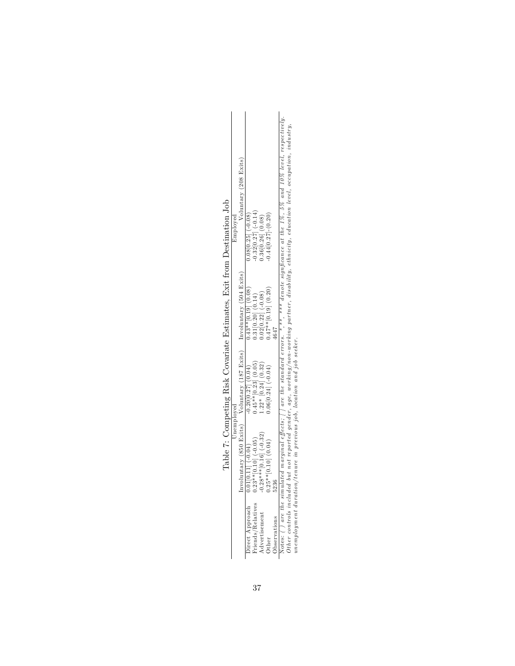| Employed<br>Unemployed | Voluntary (208 Exits)<br>rvoluntary (850 Exits) Voluntary (187 Exits) Involuntary (504 Exits) | $0.08[0.25]$ (-0.08,<br>$0.43**$ [0.19] (0.08)<br>$0.20[0.27]$ $(0.04)$<br>$0.01[0.11]$ (-0.04) | $0.32[0.27]$ (-0.14)<br>$0.31[0.20]$ $(0.14)$<br>$0.45**$ [0.23] $(0.05)$<br>$0.23**$ [0.10] (-0.05) | $0.36[0.26]$ (0.08)<br>$0.02[0.22]$ (-0.08)<br>$1.22*$ [0.24] (0.32)<br>$-0.28$ ** $[0.16]$ $(-0.32)$ | $0.44[0.27] - (0.20)$<br>$0.47**$ [0.19] (0.20)<br>$0.06[0.24]$ (-0.04)<br>$0.25**[0.10]$ $(0.04)$ | ž            | $\sqrt{5}$ (b) are the simulated marginal effects; [] are the standard errors. *,**, *** denote significance at the 1%, 5% and 10% level, respectively. | )ther controls included but not reported gender, age, working/non-working partner, disability, ethnicity, education level, occupation, industry, | inemployment duration/tenure in previous job, location and job seeker. |  |
|------------------------|-----------------------------------------------------------------------------------------------|-------------------------------------------------------------------------------------------------|------------------------------------------------------------------------------------------------------|-------------------------------------------------------------------------------------------------------|----------------------------------------------------------------------------------------------------|--------------|---------------------------------------------------------------------------------------------------------------------------------------------------------|--------------------------------------------------------------------------------------------------------------------------------------------------|------------------------------------------------------------------------|--|
|                        |                                                                                               | lirect Approach                                                                                 | riends/Relatives                                                                                     | <b>A</b> dvertisement                                                                                 | )ther                                                                                              | Jbservations |                                                                                                                                                         |                                                                                                                                                  |                                                                        |  |

Table 7: Competing Risk Covariate Estimates, Exit from Destination Job Table 7: Competing Risk Covariate Estimates, Exit from Destination Job